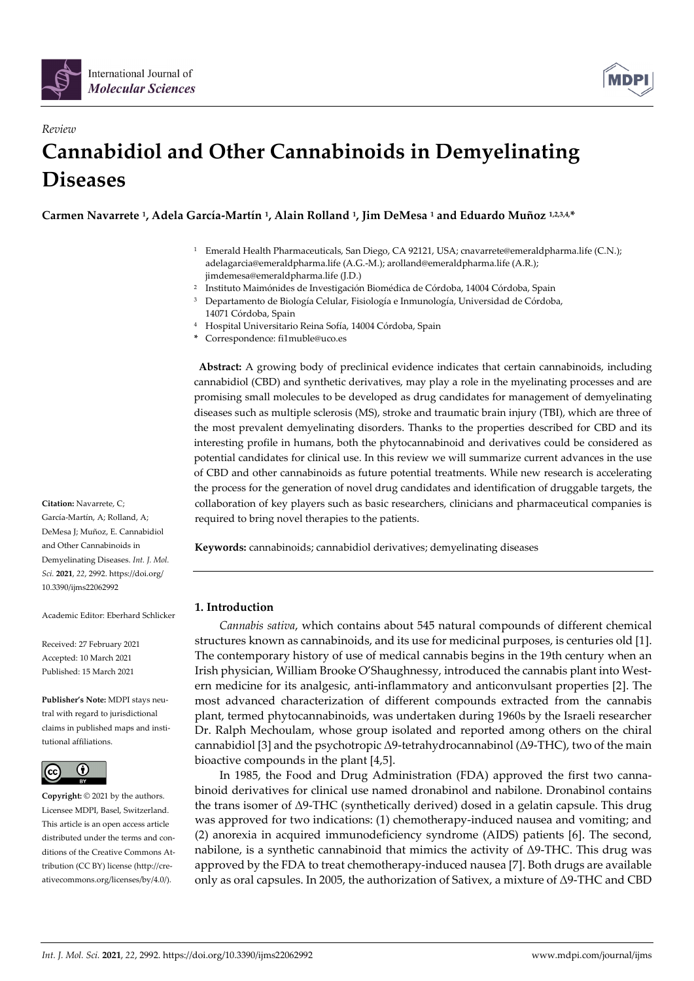

*Review*



# **Cannabidiol and Other Cannabinoids in Demyelinating Diseases**

**Carmen Navarrete 1, Adela García-Martín 1, Alain Rolland 1, Jim DeMesa <sup>1</sup> and Eduardo Muñoz 1,2,3,4, \***

- <sup>1</sup> Emerald Health Pharmaceuticals, San Diego, CA 92121, USA; cnavarrete@emeraldpharma.life (C.N.); adelagarcia@emeraldpharma.life (A.G.-M.); arolland@emeraldpharma.life (A.R.); jimdemesa@emeraldpharma.life (J.D.)
- <sup>2</sup> Instituto Maimónides de Investigación Biomédica de Córdoba, 14004 Córdoba, Spain
- <sup>3</sup> Departamento de Biología Celular, Fisiología e Inmunología, Universidad de Córdoba, 14071 Córdoba, Spain
- <sup>4</sup> Hospital Universitario Reina Sofía, 14004 Córdoba, Spain
- **\*** Correspondence: fi1muble@uco.es

**Abstract:** A growing body of preclinical evidence indicates that certain cannabinoids, including cannabidiol (CBD) and synthetic derivatives, may play a role in the myelinating processes and are promising small molecules to be developed as drug candidates for management of demyelinating diseases such as multiple sclerosis (MS), stroke and traumatic brain injury (TBI), which are three of the most prevalent demyelinating disorders. Thanks to the properties described for CBD and its interesting profile in humans, both the phytocannabinoid and derivatives could be considered as potential candidates for clinical use. In this review we will summarize current advances in the use of CBD and other cannabinoids as future potential treatments. While new research is accelerating the process for the generation of novel drug candidates and identification of druggable targets, the collaboration of key players such as basic researchers, clinicians and pharmaceutical companies is required to bring novel therapies to the patients.

**Keywords:** cannabinoids; cannabidiol derivatives; demyelinating diseases

# **1. Introduction**

*Cannabis sativa*, which contains about 545 natural compounds of different chemical structures known as cannabinoids, and its use for medicinal purposes, is centuries old [1]. The contemporary history of use of medical cannabis begins in the 19th century when an Irish physician, William Brooke O'Shaughnessy, introduced the cannabis plant into Western medicine for its analgesic, anti-inflammatory and anticonvulsant properties [2]. The most advanced characterization of different compounds extracted from the cannabis plant, termed phytocannabinoids, was undertaken during 1960s by the Israeli researcher Dr. Ralph Mechoulam, whose group isolated and reported among others on the chiral cannabidiol [3] and the psychotropic Δ9-tetrahydrocannabinol (Δ9-THC), two of the main bioactive compounds in the plant [4,5].

In 1985, the Food and Drug Administration (FDA) approved the first two cannabinoid derivatives for clinical use named dronabinol and nabilone. Dronabinol contains the trans isomer of Δ9-THC (synthetically derived) dosed in a gelatin capsule. This drug was approved for two indications: (1) chemotherapy-induced nausea and vomiting; and (2) anorexia in acquired immunodeficiency syndrome (AIDS) patients [6]. The second, nabilone, is a synthetic cannabinoid that mimics the activity of Δ9-THC. This drug was approved by the FDA to treat chemotherapy-induced nausea [7]. Both drugs are available only as oral capsules. In 2005, the authorization of Sativex, a mixture of Δ9-THC and CBD

**Citation:** Navarrete, C; García-Martín, A; Rolland, A; DeMesa J; Muñoz, E. Cannabidiol and Other Cannabinoids in Demyelinating Diseases. *Int. J. Mol. Sci.* **2021**, *22*, 2992. https://doi.org/ 10.3390/ijms22062992

Academic Editor: Eberhard Schlicker

Received: 27 February 2021 Accepted: 10 March 2021 Published: 15 March 2021

**Publisher's Note:** MDPI stays neutral with regard to jurisdictional claims in published maps and institutional affiliations.



**Copyright:** © 2021 by the authors. Licensee MDPI, Basel, Switzerland. This article is an open access article distributed under the terms and conditions of the Creative Commons Attribution (CC BY) license (http://creativecommons.org/licenses/by/4.0/).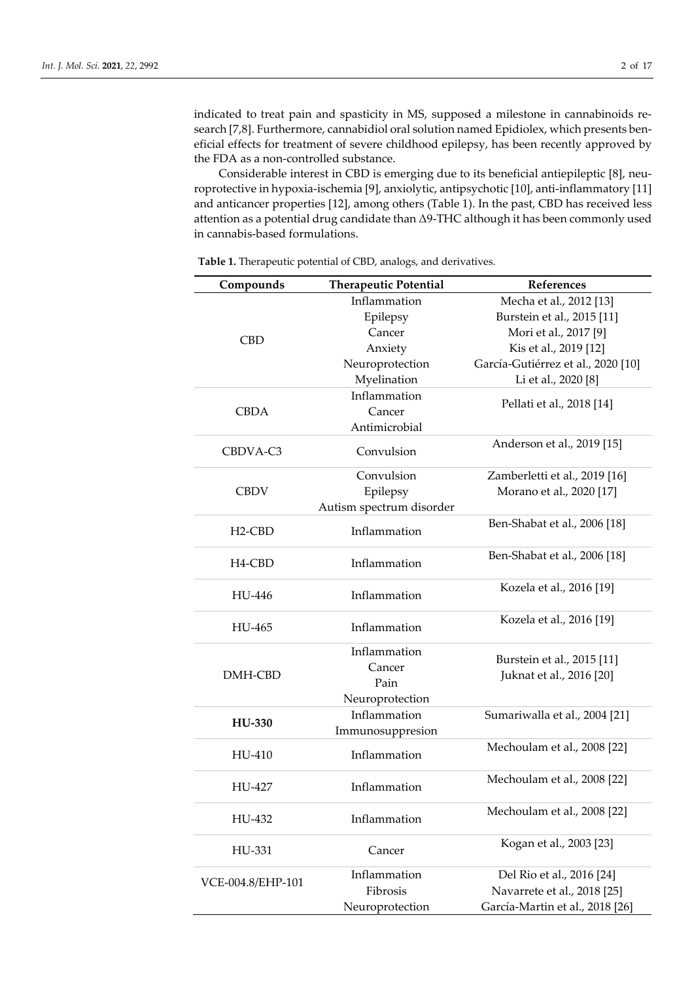indicated to treat pain and spasticity in MS, supposed a milestone in cannabinoids research [7,8]. Furthermore, cannabidiol oral solution named Epidiolex, which presents beneficial effects for treatment of severe childhood epilepsy, has been recently approved by the FDA as a non-controlled substance.

Considerable interest in CBD is emerging due to its beneficial antiepileptic [8], neuroprotective in hypoxia-ischemia [9], anxiolytic, antipsychotic [10], anti-inflammatory [11] and anticancer properties [12], among others (Table 1). In the past, CBD has received less attention as a potential drug candidate than Δ9-THC although it has been commonly used in cannabis-based formulations.

| Compounds           | <b>Therapeutic Potential</b> | References                         |
|---------------------|------------------------------|------------------------------------|
| <b>CBD</b>          | Inflammation                 | Mecha et al., 2012 [13]            |
|                     | Epilepsy                     | Burstein et al., 2015 [11]         |
|                     | Cancer                       | Mori et al., 2017 [9]              |
|                     | Anxiety                      | Kis et al., 2019 [12]              |
|                     | Neuroprotection              | García-Gutiérrez et al., 2020 [10] |
|                     | Myelination                  | Li et al., 2020 [8]                |
|                     | Inflammation                 |                                    |
| <b>CBDA</b>         | Cancer                       | Pellati et al., 2018 [14]          |
|                     | Antimicrobial                |                                    |
| CBDVA-C3            | Convulsion                   | Anderson et al., 2019 [15]         |
|                     | Convulsion                   | Zamberletti et al., 2019 [16]      |
| <b>CBDV</b>         | Epilepsy                     | Morano et al., 2020 [17]           |
|                     | Autism spectrum disorder     |                                    |
|                     |                              | Ben-Shabat et al., 2006 [18]       |
| $H2-CBD$            | Inflammation                 |                                    |
|                     | Inflammation                 | Ben-Shabat et al., 2006 [18]       |
| H <sub>4</sub> -CBD |                              |                                    |
| HU-446              | Inflammation                 | Kozela et al., 2016 [19]           |
|                     |                              |                                    |
| HU-465              | Inflammation                 | Kozela et al., 2016 [19]           |
|                     |                              |                                    |
|                     | Inflammation                 | Burstein et al., 2015 [11]         |
| DMH-CBD             | Cancer                       | Juknat et al., 2016 [20]           |
|                     | Pain                         |                                    |
|                     | Neuroprotection              |                                    |
|                     | Inflammation                 | Sumariwalla et al., 2004 [21]      |
| HU-330              | Immunosuppresion             |                                    |
| HU-410              | Inflammation                 | Mechoulam et al., 2008 [22]        |
|                     |                              |                                    |
| HU-427              | Inflammation                 | Mechoulam et al., 2008 [22]        |
|                     |                              |                                    |
| HU-432              | Inflammation                 | Mechoulam et al., 2008 [22]        |
|                     |                              |                                    |
| HU-331              | Cancer                       | Kogan et al., 2003 [23]            |
| VCE-004.8/EHP-101   | Inflammation                 | Del Rio et al., 2016 [24]          |
|                     | Fibrosis                     | Navarrete et al., 2018 [25]        |
|                     |                              |                                    |
|                     | Neuroprotection              | García-Martin et al., 2018 [26]    |

**Table 1.** Therapeutic potential of CBD, analogs, and derivatives.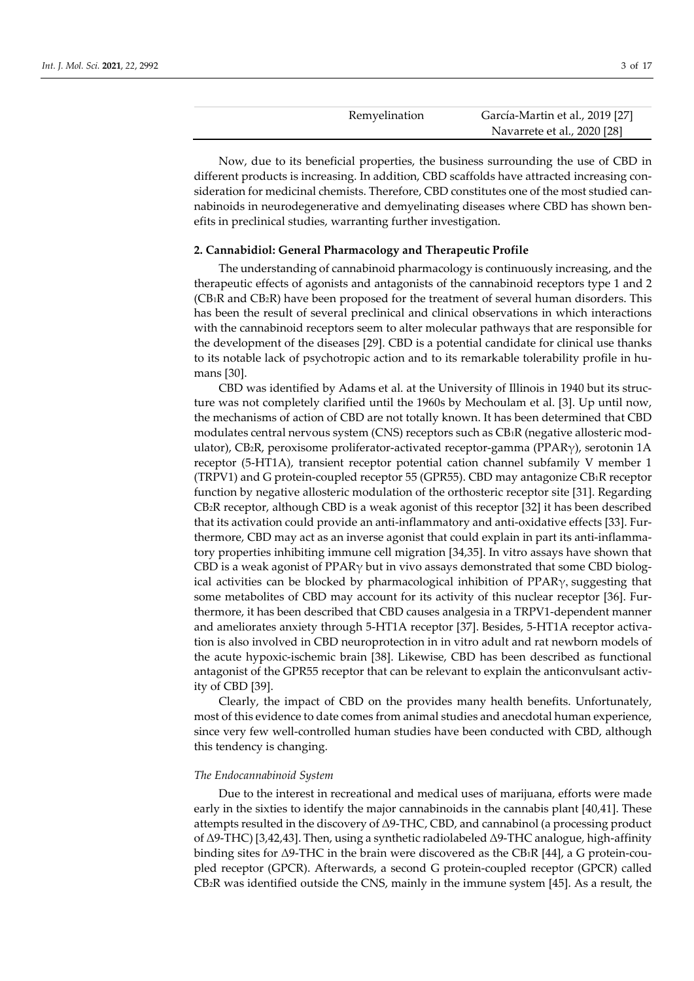| Remyelination | García-Martin et al., 2019 [27] |
|---------------|---------------------------------|
|               | Navarrete et al., 2020 [28]     |

Now, due to its beneficial properties, the business surrounding the use of CBD in different products is increasing. In addition, CBD scaffolds have attracted increasing consideration for medicinal chemists. Therefore, CBD constitutes one of the most studied cannabinoids in neurodegenerative and demyelinating diseases where CBD has shown benefits in preclinical studies, warranting further investigation.

#### **2. Cannabidiol: General Pharmacology and Therapeutic Profile**

The understanding of cannabinoid pharmacology is continuously increasing, and the therapeutic effects of agonists and antagonists of the cannabinoid receptors type 1 and 2 (CB1R and CB2R) have been proposed for the treatment of several human disorders. This has been the result of several preclinical and clinical observations in which interactions with the cannabinoid receptors seem to alter molecular pathways that are responsible for the development of the diseases [29]. CBD is a potential candidate for clinical use thanks to its notable lack of psychotropic action and to its remarkable tolerability profile in humans [30].

CBD was identified by Adams et al. at the University of Illinois in 1940 but its structure was not completely clarified until the 1960s by Mechoulam et al. [3]. Up until now, the mechanisms of action of CBD are not totally known. It has been determined that CBD modulates central nervous system (CNS) receptors such as CB1R (negative allosteric modulator), CB2R, peroxisome proliferator-activated receptor-gamma (PPARγ), serotonin 1A receptor (5-HT1A), transient receptor potential cation channel subfamily V member 1 (TRPV1) and G protein-coupled receptor 55 (GPR55). CBD may antagonize CB1R receptor function by negative allosteric modulation of the orthosteric receptor site [31]. Regarding CB2R receptor, although CBD is a weak agonist of this receptor [32] it has been described that its activation could provide an anti-inflammatory and anti-oxidative effects [33]. Furthermore, CBD may act as an inverse agonist that could explain in part its anti-inflammatory properties inhibiting immune cell migration [34,35]. In vitro assays have shown that CBD is a weak agonist of  $PPAR\gamma$  but in vivo assays demonstrated that some CBD biological activities can be blocked by pharmacological inhibition of  $PPAR<sub>Y</sub>$ , suggesting that some metabolites of CBD may account for its activity of this nuclear receptor [36]. Furthermore, it has been described that CBD causes analgesia in a TRPV1-dependent manner and ameliorates anxiety through 5-HT1A receptor [37]. Besides, 5-HT1A receptor activation is also involved in CBD neuroprotection in in vitro adult and rat newborn models of the acute hypoxic-ischemic brain [38]. Likewise, CBD has been described as functional antagonist of the GPR55 receptor that can be relevant to explain the anticonvulsant activity of CBD [39].

Clearly, the impact of CBD on the provides many health benefits. Unfortunately, most of this evidence to date comes from animal studies and anecdotal human experience, since very few well-controlled human studies have been conducted with CBD, although this tendency is changing.

## *The Endocannabinoid System*

Due to the interest in recreational and medical uses of marijuana, efforts were made early in the sixties to identify the major cannabinoids in the cannabis plant [40,41]. These attempts resulted in the discovery of Δ9-THC, CBD, and cannabinol (a processing product of Δ9-THC) [3,42,43]. Then, using a synthetic radiolabeled Δ9-THC analogue, high-affinity binding sites for Δ9-THC in the brain were discovered as the CB1R [44], a G protein-coupled receptor (GPCR). Afterwards, a second G protein-coupled receptor (GPCR) called CB2R was identified outside the CNS, mainly in the immune system [45]. As a result, the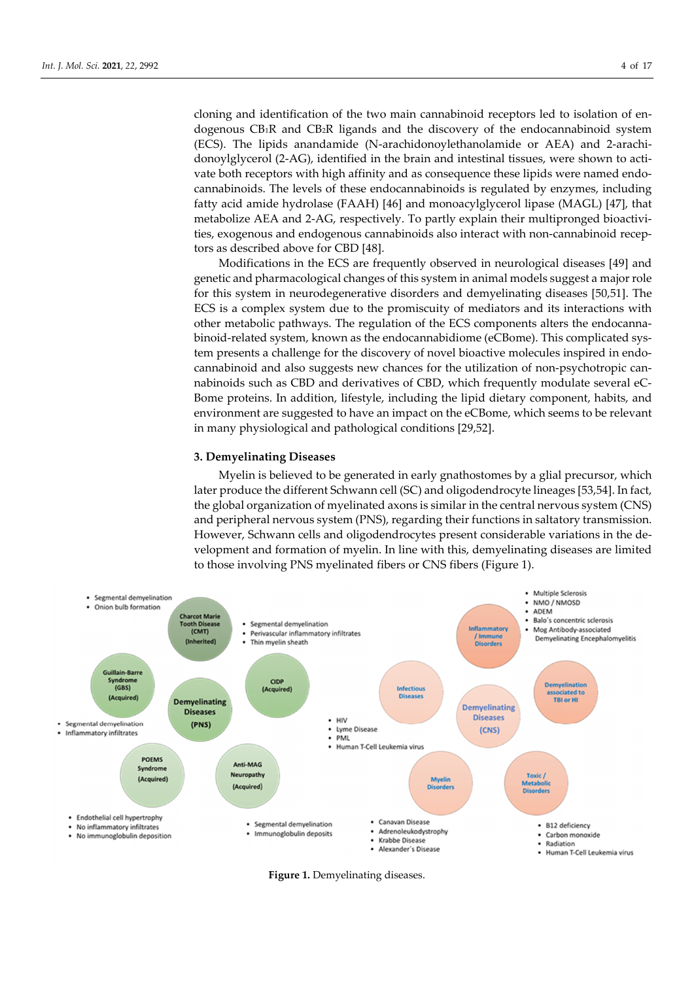cloning and identification of the two main cannabinoid receptors led to isolation of endogenous  $CB_1R$  and  $CB_2R$  ligands and the discovery of the endocannabinoid system (ECS). The lipids anandamide (N-arachidonoylethanolamide or AEA) and 2-arachidonoylglycerol (2-AG), identified in the brain and intestinal tissues, were shown to activate both receptors with high affinity and as consequence these lipids were named endocannabinoids. The levels of these endocannabinoids is regulated by enzymes, including fatty acid amide hydrolase (FAAH) [46] and monoacylglycerol lipase (MAGL) [47], that metabolize AEA and 2-AG, respectively. To partly explain their multipronged bioactivities, exogenous and endogenous cannabinoids also interact with non-cannabinoid receptors as described above for CBD [48].

Modifications in the ECS are frequently observed in neurological diseases [49] and genetic and pharmacological changes of this system in animal models suggest a major role for this system in neurodegenerative disorders and demyelinating diseases [50,51]. The ECS is a complex system due to the promiscuity of mediators and its interactions with other metabolic pathways. The regulation of the ECS components alters the endocannabinoid-related system, known as the endocannabidiome (eCBome). This complicated system presents a challenge for the discovery of novel bioactive molecules inspired in endocannabinoid and also suggests new chances for the utilization of non-psychotropic cannabinoids such as CBD and derivatives of CBD, which frequently modulate several eC-Bome proteins. In addition, lifestyle, including the lipid dietary component, habits, and environment are suggested to have an impact on the eCBome, which seems to be relevant in many physiological and pathological conditions [29,52].

#### **3. Demyelinating Diseases**

Myelin is believed to be generated in early gnathostomes by a glial precursor, which later produce the different Schwann cell (SC) and oligodendrocyte lineages [53,54]. In fact, the global organization of myelinated axons is similar in the central nervous system (CNS) and peripheral nervous system (PNS), regarding their functions in saltatory transmission. However, Schwann cells and oligodendrocytes present considerable variations in the development and formation of myelin. In line with this, demyelinating diseases are limited to those involving PNS myelinated fibers or CNS fibers (Figure 1).



**Figure 1.** Demyelinating diseases.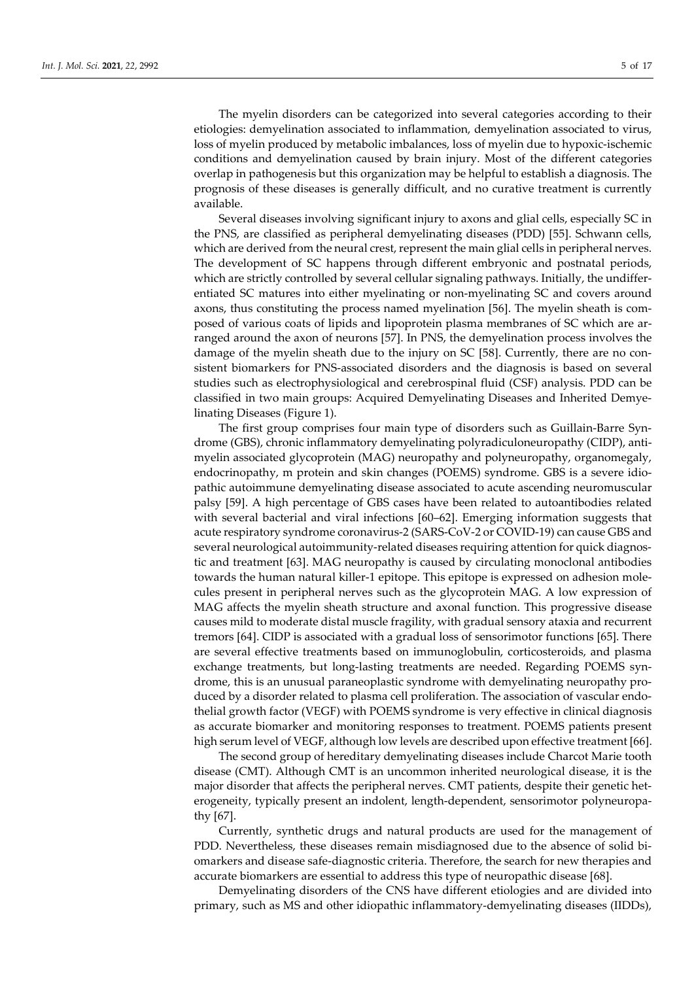The myelin disorders can be categorized into several categories according to their etiologies: demyelination associated to inflammation, demyelination associated to virus, loss of myelin produced by metabolic imbalances, loss of myelin due to hypoxic-ischemic conditions and demyelination caused by brain injury. Most of the different categories overlap in pathogenesis but this organization may be helpful to establish a diagnosis. The prognosis of these diseases is generally difficult, and no curative treatment is currently available.

Several diseases involving significant injury to axons and glial cells, especially SC in the PNS, are classified as peripheral demyelinating diseases (PDD) [55]. Schwann cells, which are derived from the neural crest, represent the main glial cells in peripheral nerves. The development of SC happens through different embryonic and postnatal periods, which are strictly controlled by several cellular signaling pathways. Initially, the undifferentiated SC matures into either myelinating or non-myelinating SC and covers around axons, thus constituting the process named myelination [56]. The myelin sheath is composed of various coats of lipids and lipoprotein plasma membranes of SC which are arranged around the axon of neurons [57]. In PNS, the demyelination process involves the damage of the myelin sheath due to the injury on SC [58]. Currently, there are no consistent biomarkers for PNS-associated disorders and the diagnosis is based on several studies such as electrophysiological and cerebrospinal fluid (CSF) analysis. PDD can be classified in two main groups: Acquired Demyelinating Diseases and Inherited Demyelinating Diseases (Figure 1).

The first group comprises four main type of disorders such as Guillain-Barre Syndrome (GBS), chronic inflammatory demyelinating polyradiculoneuropathy (CIDP), antimyelin associated glycoprotein (MAG) neuropathy and polyneuropathy, organomegaly, endocrinopathy, m protein and skin changes (POEMS) syndrome. GBS is a severe idiopathic autoimmune demyelinating disease associated to acute ascending neuromuscular palsy [59]. A high percentage of GBS cases have been related to autoantibodies related with several bacterial and viral infections [60–62]. Emerging information suggests that acute respiratory syndrome coronavirus-2 (SARS-CoV-2 or COVID-19) can cause GBS and several neurological autoimmunity-related diseases requiring attention for quick diagnostic and treatment [63]. MAG neuropathy is caused by circulating monoclonal antibodies towards the human natural killer-1 epitope. This epitope is expressed on adhesion molecules present in peripheral nerves such as the glycoprotein MAG. A low expression of MAG affects the myelin sheath structure and axonal function. This progressive disease causes mild to moderate distal muscle fragility, with gradual sensory ataxia and recurrent tremors [64]. CIDP is associated with a gradual loss of sensorimotor functions [65]. There are several effective treatments based on immunoglobulin, corticosteroids, and plasma exchange treatments, but long-lasting treatments are needed. Regarding POEMS syndrome, this is an unusual paraneoplastic syndrome with demyelinating neuropathy produced by a disorder related to plasma cell proliferation. The association of vascular endothelial growth factor (VEGF) with POEMS syndrome is very effective in clinical diagnosis as accurate biomarker and monitoring responses to treatment. POEMS patients present high serum level of VEGF, although low levels are described upon effective treatment [66].

The second group of hereditary demyelinating diseases include Charcot Marie tooth disease (CMT). Although CMT is an uncommon inherited neurological disease, it is the major disorder that affects the peripheral nerves. CMT patients, despite their genetic heterogeneity, typically present an indolent, length-dependent, sensorimotor polyneuropathy [67].

Currently, synthetic drugs and natural products are used for the management of PDD. Nevertheless, these diseases remain misdiagnosed due to the absence of solid biomarkers and disease safe-diagnostic criteria. Therefore, the search for new therapies and accurate biomarkers are essential to address this type of neuropathic disease [68].

Demyelinating disorders of the CNS have different etiologies and are divided into primary, such as MS and other idiopathic inflammatory-demyelinating diseases (IIDDs),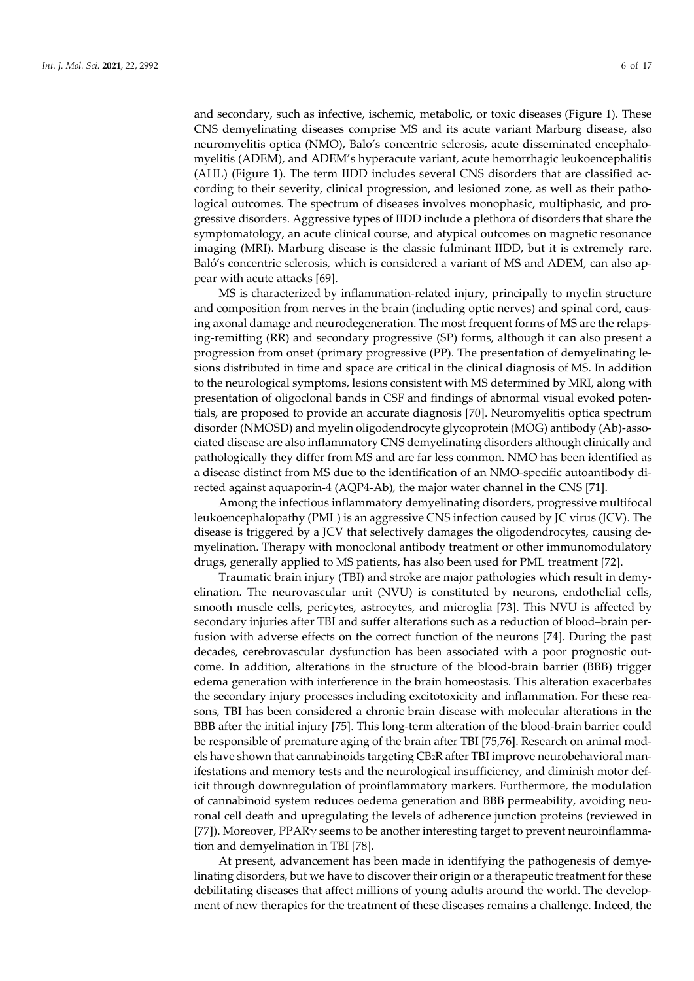and secondary, such as infective, ischemic, metabolic, or toxic diseases (Figure 1). These CNS demyelinating diseases comprise MS and its acute variant Marburg disease, also neuromyelitis optica (NMO), Balo's concentric sclerosis, acute disseminated encephalomyelitis (ADEM), and ADEM's hyperacute variant, acute hemorrhagic leukoencephalitis (AHL) (Figure 1). The term IIDD includes several CNS disorders that are classified according to their severity, clinical progression, and lesioned zone, as well as their pathological outcomes. The spectrum of diseases involves monophasic, multiphasic, and progressive disorders. Aggressive types of IIDD include a plethora of disorders that share the symptomatology, an acute clinical course, and atypical outcomes on magnetic resonance imaging (MRI). Marburg disease is the classic fulminant IIDD, but it is extremely rare. Baló's concentric sclerosis, which is considered a variant of MS and ADEM, can also appear with acute attacks [69].

MS is characterized by inflammation-related injury, principally to myelin structure and composition from nerves in the brain (including optic nerves) and spinal cord, causing axonal damage and neurodegeneration. The most frequent forms of MS are the relapsing-remitting (RR) and secondary progressive (SP) forms, although it can also present a progression from onset (primary progressive (PP). The presentation of demyelinating lesions distributed in time and space are critical in the clinical diagnosis of MS. In addition to the neurological symptoms, lesions consistent with MS determined by MRI, along with presentation of oligoclonal bands in CSF and findings of abnormal visual evoked potentials, are proposed to provide an accurate diagnosis [70]. Neuromyelitis optica spectrum disorder (NMOSD) and myelin oligodendrocyte glycoprotein (MOG) antibody (Ab)-associated disease are also inflammatory CNS demyelinating disorders although clinically and pathologically they differ from MS and are far less common. NMO has been identified as a disease distinct from MS due to the identification of an NMO-specific autoantibody directed against aquaporin-4 (AQP4-Ab), the major water channel in the CNS [71].

Among the infectious inflammatory demyelinating disorders, progressive multifocal leukoencephalopathy (PML) is an aggressive CNS infection caused by JC virus (JCV). The disease is triggered by a JCV that selectively damages the oligodendrocytes, causing demyelination. Therapy with monoclonal antibody treatment or other immunomodulatory drugs, generally applied to MS patients, has also been used for PML treatment [72].

Traumatic brain injury (TBI) and stroke are major pathologies which result in demyelination. The neurovascular unit (NVU) is constituted by neurons, endothelial cells, smooth muscle cells, pericytes, astrocytes, and microglia [73]. This NVU is affected by secondary injuries after TBI and suffer alterations such as a reduction of blood–brain perfusion with adverse effects on the correct function of the neurons [74]. During the past decades, cerebrovascular dysfunction has been associated with a poor prognostic outcome. In addition, alterations in the structure of the blood-brain barrier (BBB) trigger edema generation with interference in the brain homeostasis. This alteration exacerbates the secondary injury processes including excitotoxicity and inflammation. For these reasons, TBI has been considered a chronic brain disease with molecular alterations in the BBB after the initial injury [75]. This long-term alteration of the blood-brain barrier could be responsible of premature aging of the brain after TBI [75,76]. Research on animal models have shown that cannabinoids targeting CB2R after TBI improve neurobehavioral manifestations and memory tests and the neurological insufficiency, and diminish motor deficit through downregulation of proinflammatory markers. Furthermore, the modulation of cannabinoid system reduces oedema generation and BBB permeability, avoiding neuronal cell death and upregulating the levels of adherence junction proteins (reviewed in [77]). Moreover, PPARγ seems to be another interesting target to prevent neuroinflammation and demyelination in TBI [78].

At present, advancement has been made in identifying the pathogenesis of demyelinating disorders, but we have to discover their origin or a therapeutic treatment for these debilitating diseases that affect millions of young adults around the world. The development of new therapies for the treatment of these diseases remains a challenge. Indeed, the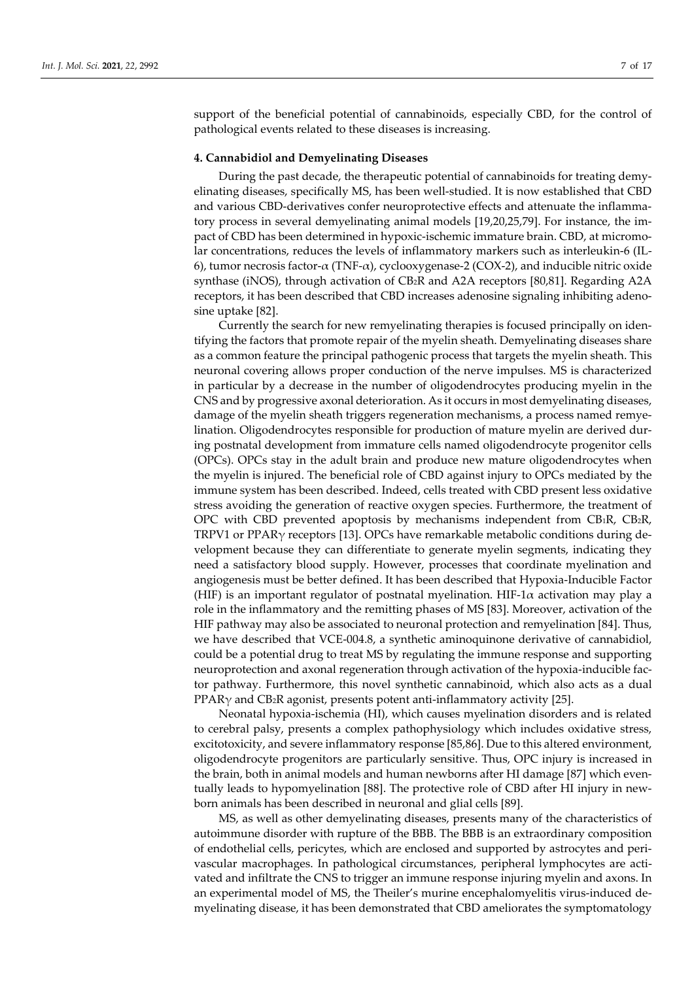support of the beneficial potential of cannabinoids, especially CBD, for the control of pathological events related to these diseases is increasing.

## **4. Cannabidiol and Demyelinating Diseases**

During the past decade, the therapeutic potential of cannabinoids for treating demyelinating diseases, specifically MS, has been well-studied. It is now established that CBD and various CBD-derivatives confer neuroprotective effects and attenuate the inflammatory process in several demyelinating animal models [19,20,25,79]. For instance, the impact of CBD has been determined in hypoxic-ischemic immature brain. CBD, at micromolar concentrations, reduces the levels of inflammatory markers such as interleukin-6 (IL-6), tumor necrosis factor-α (TNF-α), cyclooxygenase-2 (COX-2), and inducible nitric oxide synthase (iNOS), through activation of CB2R and A2A receptors [80,81]. Regarding A2A receptors, it has been described that CBD increases adenosine signaling inhibiting adenosine uptake [82].

Currently the search for new remyelinating therapies is focused principally on identifying the factors that promote repair of the myelin sheath. Demyelinating diseases share as a common feature the principal pathogenic process that targets the myelin sheath. This neuronal covering allows proper conduction of the nerve impulses. MS is characterized in particular by a decrease in the number of oligodendrocytes producing myelin in the CNS and by progressive axonal deterioration. As it occurs in most demyelinating diseases, damage of the myelin sheath triggers regeneration mechanisms, a process named remyelination. Oligodendrocytes responsible for production of mature myelin are derived during postnatal development from immature cells named oligodendrocyte progenitor cells (OPCs). OPCs stay in the adult brain and produce new mature oligodendrocytes when the myelin is injured. The beneficial role of CBD against injury to OPCs mediated by the immune system has been described. Indeed, cells treated with CBD present less oxidative stress avoiding the generation of reactive oxygen species. Furthermore, the treatment of OPC with CBD prevented apoptosis by mechanisms independent from CB1R, CB2R, TRPV1 or PPARγ receptors [13]. OPCs have remarkable metabolic conditions during development because they can differentiate to generate myelin segments, indicating they need a satisfactory blood supply. However, processes that coordinate myelination and angiogenesis must be better defined. It has been described that Hypoxia-Inducible Factor (HIF) is an important regulator of postnatal myelination. HIF-1 $\alpha$  activation may play a role in the inflammatory and the remitting phases of MS [83]. Moreover, activation of the HIF pathway may also be associated to neuronal protection and remyelination [84]. Thus, we have described that VCE-004.8, a synthetic aminoquinone derivative of cannabidiol, could be a potential drug to treat MS by regulating the immune response and supporting neuroprotection and axonal regeneration through activation of the hypoxia-inducible factor pathway. Furthermore, this novel synthetic cannabinoid, which also acts as a dual  $PPAR\gamma$  and CB<sub>2</sub>R agonist, presents potent anti-inflammatory activity [25].

Neonatal hypoxia-ischemia (HI), which causes myelination disorders and is related to cerebral palsy, presents a complex pathophysiology which includes oxidative stress, excitotoxicity, and severe inflammatory response [85,86]. Due to this altered environment, oligodendrocyte progenitors are particularly sensitive. Thus, OPC injury is increased in the brain, both in animal models and human newborns after HI damage [87] which eventually leads to hypomyelination [88]. The protective role of CBD after HI injury in newborn animals has been described in neuronal and glial cells [89].

MS, as well as other demyelinating diseases, presents many of the characteristics of autoimmune disorder with rupture of the BBB. The BBB is an extraordinary composition of endothelial cells, pericytes, which are enclosed and supported by astrocytes and perivascular macrophages. In pathological circumstances, peripheral lymphocytes are activated and infiltrate the CNS to trigger an immune response injuring myelin and axons. In an experimental model of MS, the Theiler's murine encephalomyelitis virus-induced demyelinating disease, it has been demonstrated that CBD ameliorates the symptomatology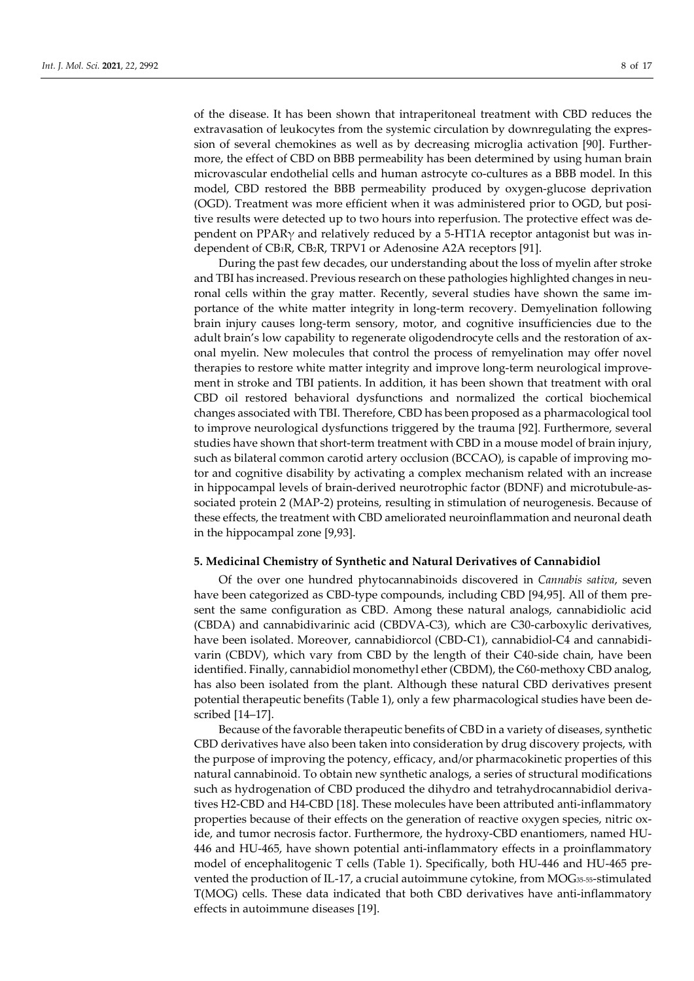of the disease. It has been shown that intraperitoneal treatment with CBD reduces the extravasation of leukocytes from the systemic circulation by downregulating the expression of several chemokines as well as by decreasing microglia activation [90]. Furthermore, the effect of CBD on BBB permeability has been determined by using human brain microvascular endothelial cells and human astrocyte co-cultures as a BBB model. In this model, CBD restored the BBB permeability produced by oxygen-glucose deprivation (OGD). Treatment was more efficient when it was administered prior to OGD, but positive results were detected up to two hours into reperfusion. The protective effect was dependent on PPAR $\gamma$  and relatively reduced by a 5-HT1A receptor antagonist but was independent of CB1R, CB2R, TRPV1 or Adenosine A2A receptors [91].

During the past few decades, our understanding about the loss of myelin after stroke and TBI has increased. Previous research on these pathologies highlighted changes in neuronal cells within the gray matter. Recently, several studies have shown the same importance of the white matter integrity in long-term recovery. Demyelination following brain injury causes long-term sensory, motor, and cognitive insufficiencies due to the adult brain's low capability to regenerate oligodendrocyte cells and the restoration of axonal myelin. New molecules that control the process of remyelination may offer novel therapies to restore white matter integrity and improve long-term neurological improvement in stroke and TBI patients. In addition, it has been shown that treatment with oral CBD oil restored behavioral dysfunctions and normalized the cortical biochemical changes associated with TBI. Therefore, CBD has been proposed as a pharmacological tool to improve neurological dysfunctions triggered by the trauma [92]. Furthermore, several studies have shown that short-term treatment with CBD in a mouse model of brain injury, such as bilateral common carotid artery occlusion (BCCAO), is capable of improving motor and cognitive disability by activating a complex mechanism related with an increase in hippocampal levels of brain-derived neurotrophic factor (BDNF) and microtubule-associated protein 2 (MAP-2) proteins, resulting in stimulation of neurogenesis. Because of these effects, the treatment with CBD ameliorated neuroinflammation and neuronal death in the hippocampal zone [9,93].

#### **5. Medicinal Chemistry of Synthetic and Natural Derivatives of Cannabidiol**

Of the over one hundred phytocannabinoids discovered in *Cannabis sativa*, seven have been categorized as CBD-type compounds, including CBD [94,95]. All of them present the same configuration as CBD. Among these natural analogs, cannabidiolic acid (CBDA) and cannabidivarinic acid (CBDVA-C3), which are C30-carboxylic derivatives, have been isolated. Moreover, cannabidiorcol (CBD-C1), cannabidiol-C4 and cannabidivarin (CBDV), which vary from CBD by the length of their C40-side chain, have been identified. Finally, cannabidiol monomethyl ether (CBDM), the C60-methoxy CBD analog, has also been isolated from the plant. Although these natural CBD derivatives present potential therapeutic benefits (Table 1), only a few pharmacological studies have been described [14–17].

Because of the favorable therapeutic benefits of CBD in a variety of diseases, synthetic CBD derivatives have also been taken into consideration by drug discovery projects, with the purpose of improving the potency, efficacy, and/or pharmacokinetic properties of this natural cannabinoid. To obtain new synthetic analogs, a series of structural modifications such as hydrogenation of CBD produced the dihydro and tetrahydrocannabidiol derivatives H2-CBD and H4-CBD [18]. These molecules have been attributed anti-inflammatory properties because of their effects on the generation of reactive oxygen species, nitric oxide, and tumor necrosis factor. Furthermore, the hydroxy-CBD enantiomers, named HU-446 and HU-465, have shown potential anti-inflammatory effects in a proinflammatory model of encephalitogenic T cells (Table 1). Specifically, both HU-446 and HU-465 prevented the production of IL-17, a crucial autoimmune cytokine, from MOG35-55-stimulated T(MOG) cells. These data indicated that both CBD derivatives have anti-inflammatory effects in autoimmune diseases [19].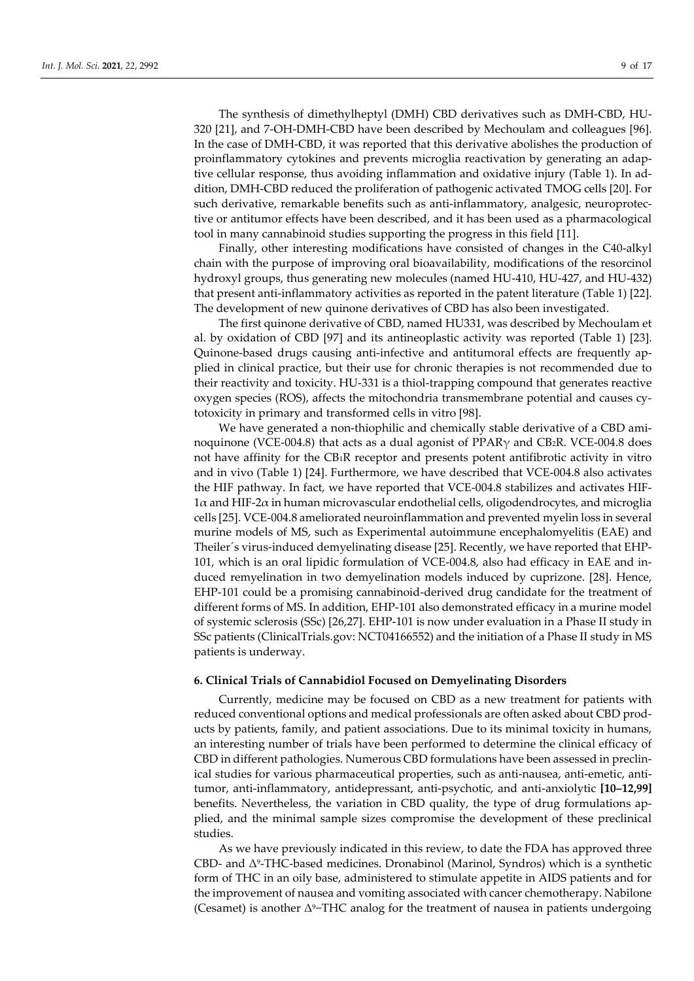The synthesis of dimethylheptyl (DMH) CBD derivatives such as DMH-CBD, HU-320 [21], and 7-OH-DMH-CBD have been described by Mechoulam and colleagues [96]. In the case of DMH-CBD, it was reported that this derivative abolishes the production of proinflammatory cytokines and prevents microglia reactivation by generating an adaptive cellular response, thus avoiding inflammation and oxidative injury (Table 1). In addition, DMH-CBD reduced the proliferation of pathogenic activated TMOG cells [20]. For such derivative, remarkable benefits such as anti-inflammatory, analgesic, neuroprotective or antitumor effects have been described, and it has been used as a pharmacological tool in many cannabinoid studies supporting the progress in this field [11].

Finally, other interesting modifications have consisted of changes in the C40-alkyl chain with the purpose of improving oral bioavailability, modifications of the resorcinol hydroxyl groups, thus generating new molecules (named HU-410, HU-427, and HU-432) that present anti-inflammatory activities as reported in the patent literature (Table 1) [22]. The development of new quinone derivatives of CBD has also been investigated.

The first quinone derivative of CBD, named HU331, was described by Mechoulam et al. by oxidation of CBD [97] and its antineoplastic activity was reported (Table 1) [23]. Quinone-based drugs causing anti-infective and antitumoral effects are frequently applied in clinical practice, but their use for chronic therapies is not recommended due to their reactivity and toxicity. HU-331 is a thiol-trapping compound that generates reactive oxygen species (ROS), affects the mitochondria transmembrane potential and causes cytotoxicity in primary and transformed cells in vitro [98].

We have generated a non-thiophilic and chemically stable derivative of a CBD aminoquinone (VCE-004.8) that acts as a dual agonist of  $PPAR<sub>V</sub>$  and CB<sub>2</sub>R. VCE-004.8 does not have affinity for the CB1R receptor and presents potent antifibrotic activity in vitro and in vivo (Table 1) [24]. Furthermore, we have described that VCE-004.8 also activates the HIF pathway. In fact, we have reported that VCE-004.8 stabilizes and activates HIF-1α and HIF-2α in human microvascular endothelial cells, oligodendrocytes, and microglia cells [25]. VCE-004.8 ameliorated neuroinflammation and prevented myelin loss in several murine models of MS, such as Experimental autoimmune encephalomyelitis (EAE) and Theiler´s virus-induced demyelinating disease [25]. Recently, we have reported that EHP-101, which is an oral lipidic formulation of VCE-004.8, also had efficacy in EAE and induced remyelination in two demyelination models induced by cuprizone. [28]. Hence, EHP-101 could be a promising cannabinoid-derived drug candidate for the treatment of different forms of MS. In addition, EHP-101 also demonstrated efficacy in a murine model of systemic sclerosis (SSc) [26,27]. EHP-101 is now under evaluation in a Phase II study in SSc patients (ClinicalTrials.gov: NCT04166552) and the initiation of a Phase II study in MS patients is underway.

## **6. Clinical Trials of Cannabidiol Focused on Demyelinating Disorders**

Currently, medicine may be focused on CBD as a new treatment for patients with reduced conventional options and medical professionals are often asked about CBD products by patients, family, and patient associations. Due to its minimal toxicity in humans, an interesting number of trials have been performed to determine the clinical efficacy of CBD in different pathologies. Numerous CBD formulations have been assessed in preclinical studies for various pharmaceutical properties, such as anti-nausea, anti-emetic, antitumor, anti-inflammatory, antidepressant, anti-psychotic, and anti-anxiolytic **[10–12,99]** benefits. Nevertheless, the variation in CBD quality, the type of drug formulations applied, and the minimal sample sizes compromise the development of these preclinical studies.

As we have previously indicated in this review, to date the FDA has approved three CBD- and Δ9-THC-based medicines. Dronabinol (Marinol, Syndros) which is a synthetic form of THC in an oily base, administered to stimulate appetite in AIDS patients and for the improvement of nausea and vomiting associated with cancer chemotherapy. Nabilone (Cesamet) is another Δ9−THC analog for the treatment of nausea in patients undergoing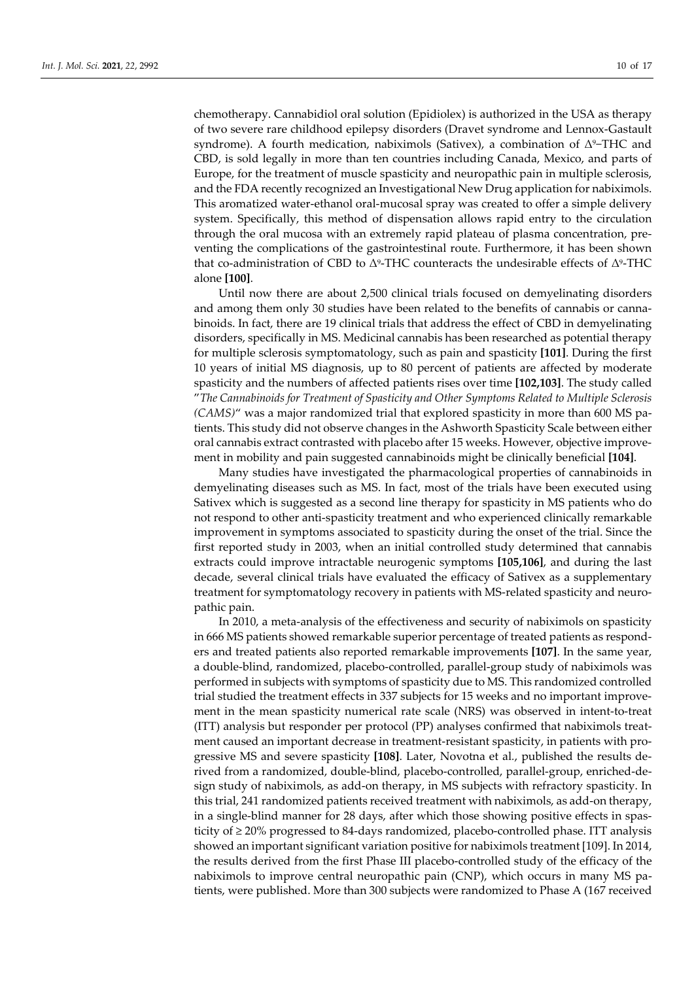chemotherapy. Cannabidiol oral solution (Epidiolex) is authorized in the USA as therapy of two severe rare childhood epilepsy disorders (Dravet syndrome and Lennox-Gastault syndrome). A fourth medication, nabiximols (Sativex), a combination of  $\Delta^9$ -THC and CBD, is sold legally in more than ten countries including Canada, Mexico, and parts of Europe, for the treatment of muscle spasticity and neuropathic pain in multiple sclerosis, and the FDA recently recognized an Investigational New Drug application for nabiximols. This aromatized water-ethanol oral-mucosal spray was created to offer a simple delivery system. Specifically, this method of dispensation allows rapid entry to the circulation through the oral mucosa with an extremely rapid plateau of plasma concentration, preventing the complications of the gastrointestinal route. Furthermore, it has been shown that co-administration of CBD to  $Δ^9$ -THC counteracts the undesirable effects of  $Δ^9$ -THC alone **[100]**.

Until now there are about 2,500 clinical trials focused on demyelinating disorders and among them only 30 studies have been related to the benefits of cannabis or cannabinoids. In fact, there are 19 clinical trials that address the effect of CBD in demyelinating disorders, specifically in MS. Medicinal cannabis has been researched as potential therapy for multiple sclerosis symptomatology, such as pain and spasticity **[101]**. During the first 10 years of initial MS diagnosis, up to 80 percent of patients are affected by moderate spasticity and the numbers of affected patients rises over time **[102,103]**. The study called "*The Cannabinoids for Treatment of Spasticity and Other Symptoms Related to Multiple Sclerosis (CAMS)*" was a major randomized trial that explored spasticity in more than 600 MS patients. This study did not observe changes in the Ashworth Spasticity Scale between either oral cannabis extract contrasted with placebo after 15 weeks. However, objective improvement in mobility and pain suggested cannabinoids might be clinically beneficial **[104]**.

Many studies have investigated the pharmacological properties of cannabinoids in demyelinating diseases such as MS. In fact, most of the trials have been executed using Sativex which is suggested as a second line therapy for spasticity in MS patients who do not respond to other anti-spasticity treatment and who experienced clinically remarkable improvement in symptoms associated to spasticity during the onset of the trial. Since the first reported study in 2003, when an initial controlled study determined that cannabis extracts could improve intractable neurogenic symptoms **[105,106]**, and during the last decade, several clinical trials have evaluated the efficacy of Sativex as a supplementary treatment for symptomatology recovery in patients with MS-related spasticity and neuropathic pain.

In 2010, a meta-analysis of the effectiveness and security of nabiximols on spasticity in 666 MS patients showed remarkable superior percentage of treated patients as responders and treated patients also reported remarkable improvements **[107]**. In the same year, a double-blind, randomized, placebo-controlled, parallel-group study of nabiximols was performed in subjects with symptoms of spasticity due to MS. This randomized controlled trial studied the treatment effects in 337 subjects for 15 weeks and no important improvement in the mean spasticity numerical rate scale (NRS) was observed in intent-to-treat (ITT) analysis but responder per protocol (PP) analyses confirmed that nabiximols treatment caused an important decrease in treatment-resistant spasticity, in patients with progressive MS and severe spasticity **[108]**. Later, Novotna et al*.*, published the results derived from a randomized, double-blind, placebo-controlled, parallel-group, enriched-design study of nabiximols, as add-on therapy, in MS subjects with refractory spasticity. In this trial, 241 randomized patients received treatment with nabiximols, as add-on therapy, in a single-blind manner for 28 days, after which those showing positive effects in spasticity of ≥ 20% progressed to 84-days randomized, placebo-controlled phase. ITT analysis showed an important significant variation positive for nabiximols treatment [109]. In 2014, the results derived from the first Phase III placebo-controlled study of the efficacy of the nabiximols to improve central neuropathic pain (CNP), which occurs in many MS patients, were published. More than 300 subjects were randomized to Phase A (167 received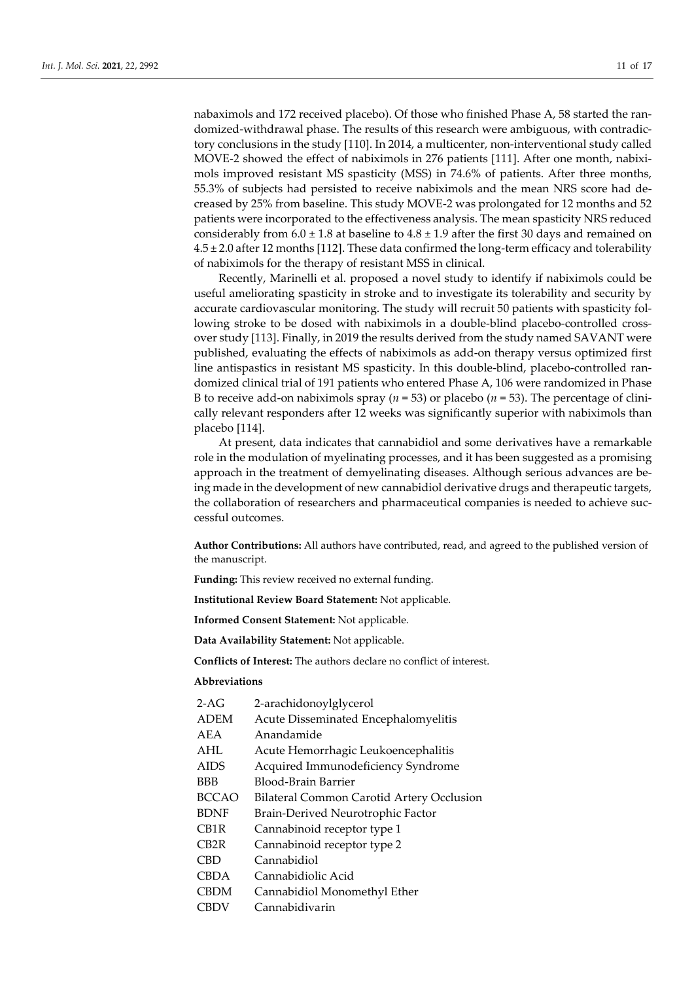nabaximols and 172 received placebo). Of those who finished Phase A, 58 started the randomized-withdrawal phase. The results of this research were ambiguous, with contradictory conclusions in the study [110]. In 2014, a multicenter, non-interventional study called MOVE-2 showed the effect of nabiximols in 276 patients [111]. After one month, nabiximols improved resistant MS spasticity (MSS) in 74.6% of patients. After three months, 55.3% of subjects had persisted to receive nabiximols and the mean NRS score had decreased by 25% from baseline. This study MOVE-2 was prolongated for 12 months and 52 patients were incorporated to the effectiveness analysis. The mean spasticity NRS reduced considerably from  $6.0 \pm 1.8$  at baseline to  $4.8 \pm 1.9$  after the first 30 days and remained on 4.5 ± 2.0 after 12 months [112]. These data confirmed the long-term efficacy and tolerability of nabiximols for the therapy of resistant MSS in clinical.

Recently, Marinelli et al. proposed a novel study to identify if nabiximols could be useful ameliorating spasticity in stroke and to investigate its tolerability and security by accurate cardiovascular monitoring. The study will recruit 50 patients with spasticity following stroke to be dosed with nabiximols in a double-blind placebo-controlled crossover study [113]. Finally, in 2019 the results derived from the study named SAVANT were published, evaluating the effects of nabiximols as add-on therapy versus optimized first line antispastics in resistant MS spasticity. In this double-blind, placebo-controlled randomized clinical trial of 191 patients who entered Phase A, 106 were randomized in Phase B to receive add-on nabiximols spray ( $n = 53$ ) or placebo ( $n = 53$ ). The percentage of clinically relevant responders after 12 weeks was significantly superior with nabiximols than placebo [114].

At present, data indicates that cannabidiol and some derivatives have a remarkable role in the modulation of myelinating processes, and it has been suggested as a promising approach in the treatment of demyelinating diseases. Although serious advances are being made in the development of new cannabidiol derivative drugs and therapeutic targets, the collaboration of researchers and pharmaceutical companies is needed to achieve successful outcomes.

**Author Contributions:** All authors have contributed, read, and agreed to the published version of the manuscript.

**Funding:** This review received no external funding.

**Institutional Review Board Statement:** Not applicable.

**Informed Consent Statement:** Not applicable.

**Data Availability Statement:** Not applicable.

**Conflicts of Interest:** The authors declare no conflict of interest.

# **Abbreviations**

| $2-AG$            | 2-arachidonoylglycerol                           |
|-------------------|--------------------------------------------------|
| <b>ADEM</b>       | Acute Disseminated Encephalomyelitis             |
| AEA               | Anandamide                                       |
| AHL               | Acute Hemorrhagic Leukoencephalitis              |
| <b>AIDS</b>       | Acquired Immunodeficiency Syndrome               |
| <b>BBB</b>        | Blood-Brain Barrier                              |
| <b>BCCAO</b>      | <b>Bilateral Common Carotid Artery Occlusion</b> |
| <b>BDNF</b>       | Brain-Derived Neurotrophic Factor                |
| CB <sub>1</sub> R | Cannabinoid receptor type 1                      |
| CB <sub>2</sub> R | Cannabinoid receptor type 2                      |
| <b>CBD</b>        | Cannabidiol                                      |
| <b>CBDA</b>       | Cannabidiolic Acid                               |
| <b>CBDM</b>       | Cannabidiol Monomethyl Ether                     |
| <b>CBDV</b>       | Cannabidivarin                                   |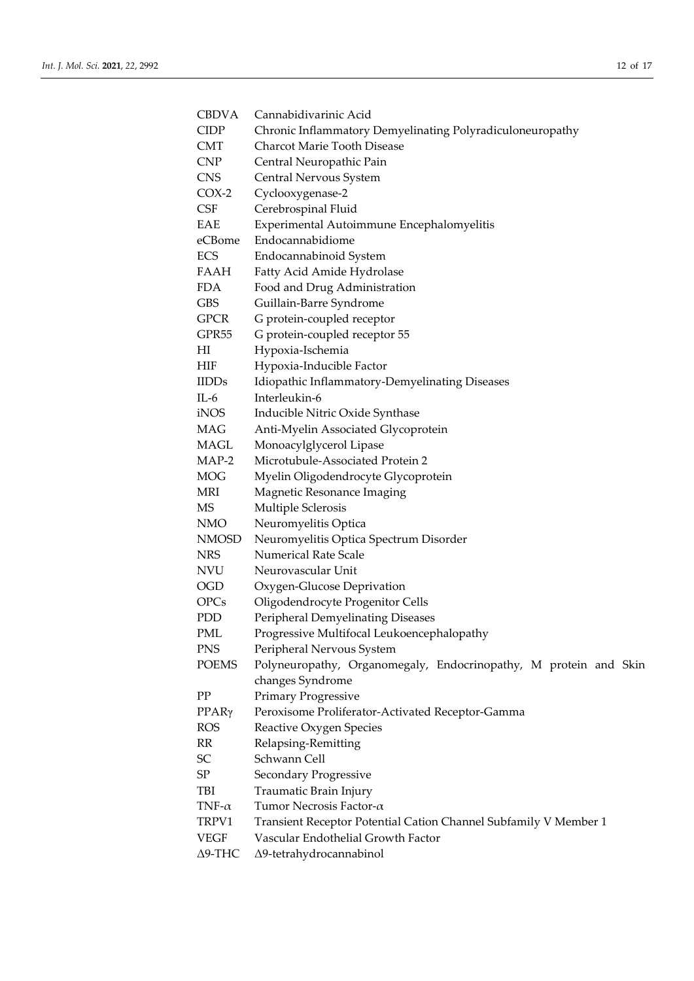| <b>CBDVA</b>      | Cannabidivarinic Acid                                            |
|-------------------|------------------------------------------------------------------|
| <b>CIDP</b>       | Chronic Inflammatory Demyelinating Polyradiculoneuropathy        |
| <b>CMT</b>        | Charcot Marie Tooth Disease                                      |
| CNP               | Central Neuropathic Pain                                         |
| <b>CNS</b>        | Central Nervous System                                           |
| $COX-2$           | Cyclooxygenase-2                                                 |
| CSF               | Cerebrospinal Fluid                                              |
| EAE               | Experimental Autoimmune Encephalomyelitis                        |
| eCBome            | Endocannabidiome                                                 |
| <b>ECS</b>        | Endocannabinoid System                                           |
| FAAH              | Fatty Acid Amide Hydrolase                                       |
| FDA.              | Food and Drug Administration                                     |
| GBS               | Guillain-Barre Syndrome                                          |
| <b>GPCR</b>       | G protein-coupled receptor                                       |
| GPR <sub>55</sub> | G protein-coupled receptor 55                                    |
| HI                | Hypoxia-Ischemia                                                 |
| HIF               | Hypoxia-Inducible Factor                                         |
| <b>IIDDs</b>      | Idiopathic Inflammatory-Demyelinating Diseases                   |
| $IL-6$            | Interleukin-6                                                    |
| iNOS              | Inducible Nitric Oxide Synthase                                  |
| MAG               | Anti-Myelin Associated Glycoprotein                              |
| MAGL              | Monoacylglycerol Lipase                                          |
| MAP-2             | Microtubule-Associated Protein 2                                 |
| <b>MOG</b>        | Myelin Oligodendrocyte Glycoprotein                              |
| MRI               | Magnetic Resonance Imaging                                       |
| MS                | Multiple Sclerosis                                               |
| NMO               | Neuromyelitis Optica                                             |
| <b>NMOSD</b>      | Neuromyelitis Optica Spectrum Disorder                           |
| <b>NRS</b>        | <b>Numerical Rate Scale</b>                                      |
| NVU               | Neurovascular Unit                                               |
| <b>OGD</b>        | Oxygen-Glucose Deprivation                                       |
| <b>OPCs</b>       | Oligodendrocyte Progenitor Cells                                 |
| PDD               | Peripheral Demyelinating Diseases                                |
| PML               | Progressive Multifocal Leukoencephalopathy                       |
| <b>PNS</b>        | Peripheral Nervous System                                        |
| <b>POEMS</b>      | Polyneuropathy, Organomegaly, Endocrinopathy, M protein and Skin |
|                   | changes Syndrome                                                 |
| ${\rm PP}$        | <b>Primary Progressive</b>                                       |
| $PPAR\gamma$      | Peroxisome Proliferator-Activated Receptor-Gamma                 |
| <b>ROS</b>        | Reactive Oxygen Species                                          |
| RR                | Relapsing-Remitting                                              |
| SC                | Schwann Cell                                                     |
| SP                | Secondary Progressive                                            |
| TBI               | Traumatic Brain Injury                                           |
| TNF- $\alpha$     | Tumor Necrosis Factor- $\alpha$                                  |
| TRPV1             | Transient Receptor Potential Cation Channel Subfamily V Member 1 |
| <b>VEGF</b>       | Vascular Endothelial Growth Factor                               |
| $\Delta$ 9-THC    | Δ9-tetrahydrocannabinol                                          |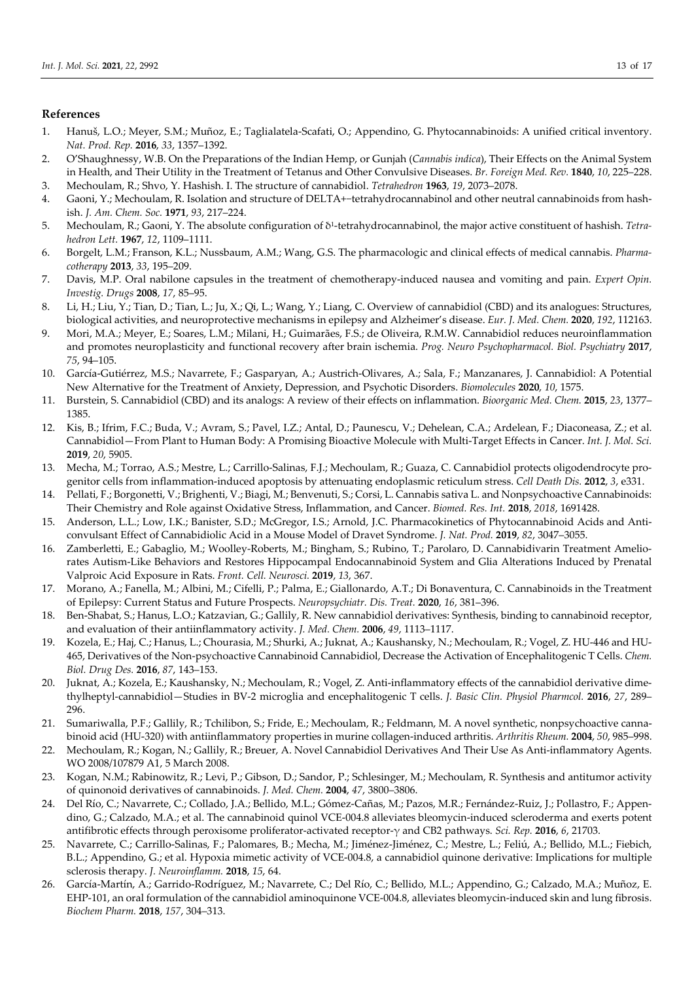## **References**

- 1. Hanuš, L.O.; Meyer, S.M.; Muñoz, E.; Taglialatela-Scafati, O.; Appendino, G. Phytocannabinoids: A unified critical inventory. *Nat. Prod. Rep.* **2016**, *33*, 1357–1392.
- 2. O'Shaughnessy, W.B. On the Preparations of the Indian Hemp, or Gunjah (*Cannabis indica*), Their Effects on the Animal System in Health, and Their Utility in the Treatment of Tetanus and Other Convulsive Diseases. *Br. Foreign Med. Rev.* **1840**, *10*, 225–228.
- 3. Mechoulam, R.; Shvo, Y. Hashish. I. The structure of cannabidiol. *Tetrahedron* **1963**, *19*, 2073–2078.
- 4. Gaoni, Y.; Mechoulam, R. Isolation and structure of DELTA+−tetrahydrocannabinol and other neutral cannabinoids from hashish. *J. Am. Chem. Soc.* **1971**, *93*, 217–224.
- 5. Mechoulam, R.; Gaoni, Y. The absolute configuration of δ1-tetrahydrocannabinol, the major active constituent of hashish. *Tetrahedron Lett.* **1967**, *12*, 1109–1111.
- 6. Borgelt, L.M.; Franson, K.L.; Nussbaum, A.M.; Wang, G.S. The pharmacologic and clinical effects of medical cannabis. *Pharmacotherapy* **2013**, *33*, 195–209.
- 7. Davis, M.P. Oral nabilone capsules in the treatment of chemotherapy-induced nausea and vomiting and pain. *Expert Opin. Investig. Drugs* **2008**, *17*, 85–95.
- 8. Li, H.; Liu, Y.; Tian, D.; Tian, L.; Ju, X.; Qi, L.; Wang, Y.; Liang, C. Overview of cannabidiol (CBD) and its analogues: Structures, biological activities, and neuroprotective mechanisms in epilepsy and Alzheimer's disease. *Eur. J. Med. Chem.* **2020**, *192*, 112163.
- 9. Mori, M.A.; Meyer, E.; Soares, L.M.; Milani, H.; Guimarães, F.S.; de Oliveira, R.M.W. Cannabidiol reduces neuroinflammation and promotes neuroplasticity and functional recovery after brain ischemia. *Prog. Neuro Psychopharmacol. Biol. Psychiatry* **2017**, *75*, 94–105.
- 10. García-Gutiérrez, M.S.; Navarrete, F.; Gasparyan, A.; Austrich-Olivares, A.; Sala, F.; Manzanares, J. Cannabidiol: A Potential New Alternative for the Treatment of Anxiety, Depression, and Psychotic Disorders. *Biomolecules* **2020**, *10*, 1575.
- 11. Burstein, S. Cannabidiol (CBD) and its analogs: A review of their effects on inflammation. *Bioorganic Med. Chem.* **2015**, *23*, 1377– 1385.
- 12. Kis, B.; Ifrim, F.C.; Buda, V.; Avram, S.; Pavel, I.Z.; Antal, D.; Paunescu, V.; Dehelean, C.A.; Ardelean, F.; Diaconeasa, Z.; et al. Cannabidiol—From Plant to Human Body: A Promising Bioactive Molecule with Multi-Target Effects in Cancer. *Int. J. Mol. Sci.* **2019**, *20*, 5905.
- 13. Mecha, M.; Torrao, A.S.; Mestre, L.; Carrillo-Salinas, F.J.; Mechoulam, R.; Guaza, C. Cannabidiol protects oligodendrocyte progenitor cells from inflammation-induced apoptosis by attenuating endoplasmic reticulum stress. *Cell Death Dis.* **2012**, *3*, e331.
- 14. Pellati, F.; Borgonetti, V.; Brighenti, V.; Biagi, M.; Benvenuti, S.; Corsi, L. Cannabis sativa L. and Nonpsychoactive Cannabinoids: Their Chemistry and Role against Oxidative Stress, Inflammation, and Cancer. *Biomed. Res. Int.* **2018**, *2018*, 1691428.
- 15. Anderson, L.L.; Low, I.K.; Banister, S.D.; McGregor, I.S.; Arnold, J.C. Pharmacokinetics of Phytocannabinoid Acids and Anticonvulsant Effect of Cannabidiolic Acid in a Mouse Model of Dravet Syndrome. *J. Nat. Prod.* **2019**, *82*, 3047–3055.
- 16. Zamberletti, E.; Gabaglio, M.; Woolley-Roberts, M.; Bingham, S.; Rubino, T.; Parolaro, D. Cannabidivarin Treatment Ameliorates Autism-Like Behaviors and Restores Hippocampal Endocannabinoid System and Glia Alterations Induced by Prenatal Valproic Acid Exposure in Rats. *Front. Cell. Neurosci.* **2019**, *13*, 367.
- 17. Morano, A.; Fanella, M.; Albini, M.; Cifelli, P.; Palma, E.; Giallonardo, A.T.; Di Bonaventura, C. Cannabinoids in the Treatment of Epilepsy: Current Status and Future Prospects. *Neuropsychiatr. Dis. Treat.* **2020**, *16*, 381–396.
- 18. Ben-Shabat, S.; Hanus, L.O.; Katzavian, G.; Gallily, R. New cannabidiol derivatives: Synthesis, binding to cannabinoid receptor, and evaluation of their antiinflammatory activity. *J. Med. Chem.* **2006**, *49*, 1113–1117.
- 19. Kozela, E.; Haj, C.; Hanus, L.; Chourasia, M.; Shurki, A.; Juknat, A.; Kaushansky, N.; Mechoulam, R.; Vogel, Z. HU-446 and HU-465, Derivatives of the Non-psychoactive Cannabinoid Cannabidiol, Decrease the Activation of Encephalitogenic T Cells. *Chem. Biol. Drug Des.* **2016**, *87*, 143–153.
- 20. Juknat, A.; Kozela, E.; Kaushansky, N.; Mechoulam, R.; Vogel, Z. Anti-inflammatory effects of the cannabidiol derivative dimethylheptyl-cannabidiol—Studies in BV-2 microglia and encephalitogenic T cells. *J. Basic Clin. Physiol Pharmcol.* **2016**, *27*, 289– 296.
- 21. Sumariwalla, P.F.; Gallily, R.; Tchilibon, S.; Fride, E.; Mechoulam, R.; Feldmann, M. A novel synthetic, nonpsychoactive cannabinoid acid (HU-320) with antiinflammatory properties in murine collagen-induced arthritis. *Arthritis Rheum.* **2004**, *50*, 985–998.
- 22. Mechoulam, R.; Kogan, N.; Gallily, R.; Breuer, A. Novel Cannabidiol Derivatives And Their Use As Anti-inflammatory Agents. WO 2008/107879 A1, 5 March 2008.
- 23. Kogan, N.M.; Rabinowitz, R.; Levi, P.; Gibson, D.; Sandor, P.; Schlesinger, M.; Mechoulam, R. Synthesis and antitumor activity of quinonoid derivatives of cannabinoids. *J. Med. Chem.* **2004**, *47*, 3800–3806.
- 24. Del Río, C.; Navarrete, C.; Collado, J.A.; Bellido, M.L.; Gómez-Cañas, M.; Pazos, M.R.; Fernández-Ruiz, J.; Pollastro, F.; Appendino, G.; Calzado, M.A.; et al. The cannabinoid quinol VCE-004.8 alleviates bleomycin-induced scleroderma and exerts potent antifibrotic effects through peroxisome proliferator-activated receptor-γ and CB2 pathways. *Sci. Rep.* **2016**, *6*, 21703.
- 25. Navarrete, C.; Carrillo-Salinas, F.; Palomares, B.; Mecha, M.; Jiménez-Jiménez, C.; Mestre, L.; Feliú, A.; Bellido, M.L.; Fiebich, B.L.; Appendino, G.; et al. Hypoxia mimetic activity of VCE-004.8, a cannabidiol quinone derivative: Implications for multiple sclerosis therapy. *J. Neuroinflamm.* **2018**, *15*, 64.
- 26. García-Martín, A.; Garrido-Rodríguez, M.; Navarrete, C.; Del Río, C.; Bellido, M.L.; Appendino, G.; Calzado, M.A.; Muñoz, E. EHP-101, an oral formulation of the cannabidiol aminoquinone VCE-004.8, alleviates bleomycin-induced skin and lung fibrosis. *Biochem Pharm.* **2018**, *157*, 304–313.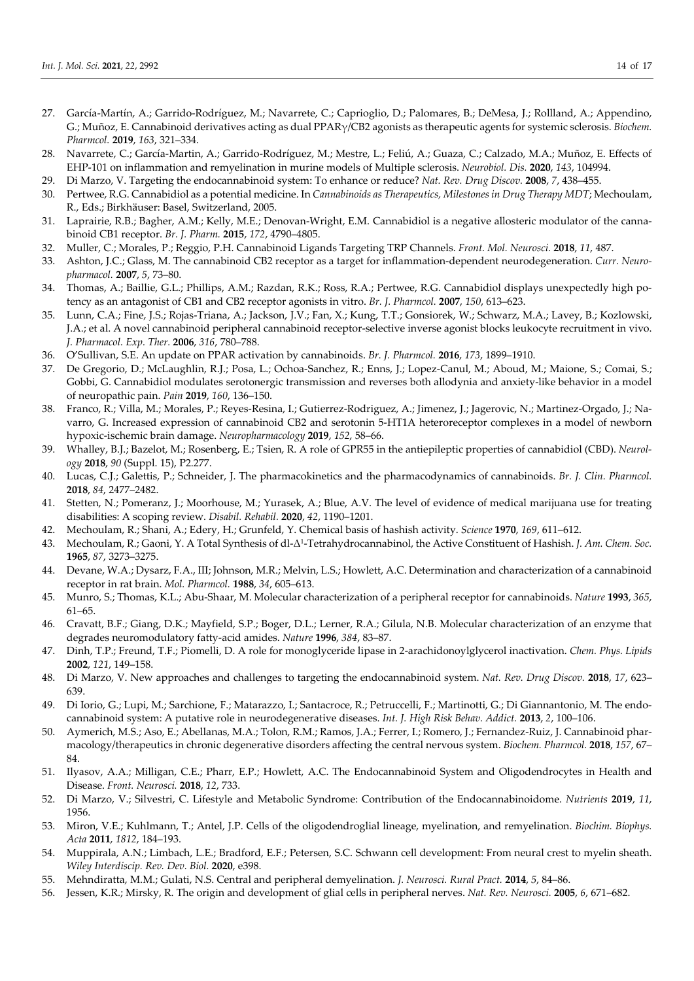- 27. García-Martín, A.; Garrido-Rodríguez, M.; Navarrete, C.; Caprioglio, D.; Palomares, B.; DeMesa, J.; Rollland, A.; Appendino, G.; Muñoz, E. Cannabinoid derivatives acting as dual PPARγ/CB2 agonists as therapeutic agents for systemic sclerosis. *Biochem. Pharmcol.* **2019**, *163*, 321–334.
- 28. Navarrete, C.; García-Martin, A.; Garrido-Rodríguez, M.; Mestre, L.; Feliú, A.; Guaza, C.; Calzado, M.A.; Muñoz, E. Effects of EHP-101 on inflammation and remyelination in murine models of Multiple sclerosis. *Neurobiol. Dis.* **2020**, *143*, 104994.
- 29. Di Marzo, V. Targeting the endocannabinoid system: To enhance or reduce? *Nat. Rev. Drug Discov.* **2008**, *7*, 438–455.
- 30. Pertwee, R.G. Cannabidiol as a potential medicine. In *Cannabinoids as Therapeutics, Milestones in Drug Therapy MDT*; Mechoulam, R., Eds.; Birkhäuser: Basel, Switzerland, 2005.
- 31. Laprairie, R.B.; Bagher, A.M.; Kelly, M.E.; Denovan-Wright, E.M. Cannabidiol is a negative allosteric modulator of the cannabinoid CB1 receptor. *Br. J. Pharm.* **2015**, *172*, 4790–4805.
- 32. Muller, C.; Morales, P.; Reggio, P.H. Cannabinoid Ligands Targeting TRP Channels. *Front. Mol. Neurosci.* **2018**, *11*, 487.
- 33. Ashton, J.C.; Glass, M. The cannabinoid CB2 receptor as a target for inflammation-dependent neurodegeneration. *Curr. Neuropharmacol.* **2007**, *5*, 73–80.
- 34. Thomas, A.; Baillie, G.L.; Phillips, A.M.; Razdan, R.K.; Ross, R.A.; Pertwee, R.G. Cannabidiol displays unexpectedly high potency as an antagonist of CB1 and CB2 receptor agonists in vitro. *Br. J. Pharmcol.* **2007**, *150*, 613–623.
- 35. Lunn, C.A.; Fine, J.S.; Rojas-Triana, A.; Jackson, J.V.; Fan, X.; Kung, T.T.; Gonsiorek, W.; Schwarz, M.A.; Lavey, B.; Kozlowski, J.A.; et al. A novel cannabinoid peripheral cannabinoid receptor-selective inverse agonist blocks leukocyte recruitment in vivo. *J. Pharmacol. Exp. Ther.* **2006**, *316*, 780–788.
- 36. O'Sullivan, S.E. An update on PPAR activation by cannabinoids. *Br. J. Pharmcol.* **2016**, *173*, 1899–1910.
- 37. De Gregorio, D.; McLaughlin, R.J.; Posa, L.; Ochoa-Sanchez, R.; Enns, J.; Lopez-Canul, M.; Aboud, M.; Maione, S.; Comai, S.; Gobbi, G. Cannabidiol modulates serotonergic transmission and reverses both allodynia and anxiety-like behavior in a model of neuropathic pain. *Pain* **2019**, *160*, 136–150.
- 38. Franco, R.; Villa, M.; Morales, P.; Reyes-Resina, I.; Gutierrez-Rodriguez, A.; Jimenez, J.; Jagerovic, N.; Martinez-Orgado, J.; Navarro, G. Increased expression of cannabinoid CB2 and serotonin 5-HT1A heteroreceptor complexes in a model of newborn hypoxic-ischemic brain damage. *Neuropharmacology* **2019**, *152*, 58–66.
- 39. Whalley, B.J.; Bazelot, M.; Rosenberg, E.; Tsien, R. A role of GPR55 in the antiepileptic properties of cannabidiol (CBD). *Neurology* **2018**, *90* (Suppl. 15), P2.277.
- 40. Lucas, C.J.; Galettis, P.; Schneider, J. The pharmacokinetics and the pharmacodynamics of cannabinoids. *Br. J. Clin. Pharmcol.* **2018**, *84*, 2477–2482.
- 41. Stetten, N.; Pomeranz, J.; Moorhouse, M.; Yurasek, A.; Blue, A.V. The level of evidence of medical marijuana use for treating disabilities: A scoping review. *Disabil. Rehabil.* **2020**, *42*, 1190–1201.
- 42. Mechoulam, R.; Shani, A.; Edery, H.; Grunfeld, Y. Chemical basis of hashish activity. *Science* **1970**, *169*, 611–612.
- 43. Mechoulam, R.; Gaoni, Y. A Total Synthesis of dl-Δ1-Tetrahydrocannabinol, the Active Constituent of Hashish. *J. Am. Chem. Soc.* **1965**, *87*, 3273–3275.
- 44. Devane, W.A.; Dysarz, F.A., III; Johnson, M.R.; Melvin, L.S.; Howlett, A.C. Determination and characterization of a cannabinoid receptor in rat brain. *Mol. Pharmcol.* **1988**, *34*, 605–613.
- 45. Munro, S.; Thomas, K.L.; Abu-Shaar, M. Molecular characterization of a peripheral receptor for cannabinoids. *Nature* **1993**, *365*, 61–65.
- 46. Cravatt, B.F.; Giang, D.K.; Mayfield, S.P.; Boger, D.L.; Lerner, R.A.; Gilula, N.B. Molecular characterization of an enzyme that degrades neuromodulatory fatty-acid amides. *Nature* **1996**, *384*, 83–87.
- 47. Dinh, T.P.; Freund, T.F.; Piomelli, D. A role for monoglyceride lipase in 2-arachidonoylglycerol inactivation. *Chem. Phys. Lipids* **2002**, *121*, 149–158.
- 48. Di Marzo, V. New approaches and challenges to targeting the endocannabinoid system. *Nat. Rev. Drug Discov.* **2018**, *17*, 623– 639.
- 49. Di Iorio, G.; Lupi, M.; Sarchione, F.; Matarazzo, I.; Santacroce, R.; Petruccelli, F.; Martinotti, G.; Di Giannantonio, M. The endocannabinoid system: A putative role in neurodegenerative diseases. *Int. J. High Risk Behav. Addict.* **2013**, *2*, 100–106.
- 50. Aymerich, M.S.; Aso, E.; Abellanas, M.A.; Tolon, R.M.; Ramos, J.A.; Ferrer, I.; Romero, J.; Fernandez-Ruiz, J. Cannabinoid pharmacology/therapeutics in chronic degenerative disorders affecting the central nervous system. *Biochem. Pharmcol.* **2018**, *157*, 67– 84.
- 51. Ilyasov, A.A.; Milligan, C.E.; Pharr, E.P.; Howlett, A.C. The Endocannabinoid System and Oligodendrocytes in Health and Disease. *Front. Neurosci.* **2018**, *12*, 733.
- 52. Di Marzo, V.; Silvestri, C. Lifestyle and Metabolic Syndrome: Contribution of the Endocannabinoidome. *Nutrients* **2019**, *11*, 1956.
- 53. Miron, V.E.; Kuhlmann, T.; Antel, J.P. Cells of the oligodendroglial lineage, myelination, and remyelination. *Biochim. Biophys. Acta* **2011**, *1812*, 184–193.
- 54. Muppirala, A.N.; Limbach, L.E.; Bradford, E.F.; Petersen, S.C. Schwann cell development: From neural crest to myelin sheath. *Wiley Interdiscip. Rev. Dev. Biol.* **2020**, e398.
- 55. Mehndiratta, M.M.; Gulati, N.S. Central and peripheral demyelination. *J. Neurosci. Rural Pract.* **2014**, *5*, 84–86.
- 56. Jessen, K.R.; Mirsky, R. The origin and development of glial cells in peripheral nerves. *Nat. Rev. Neurosci.* **2005**, *6*, 671–682.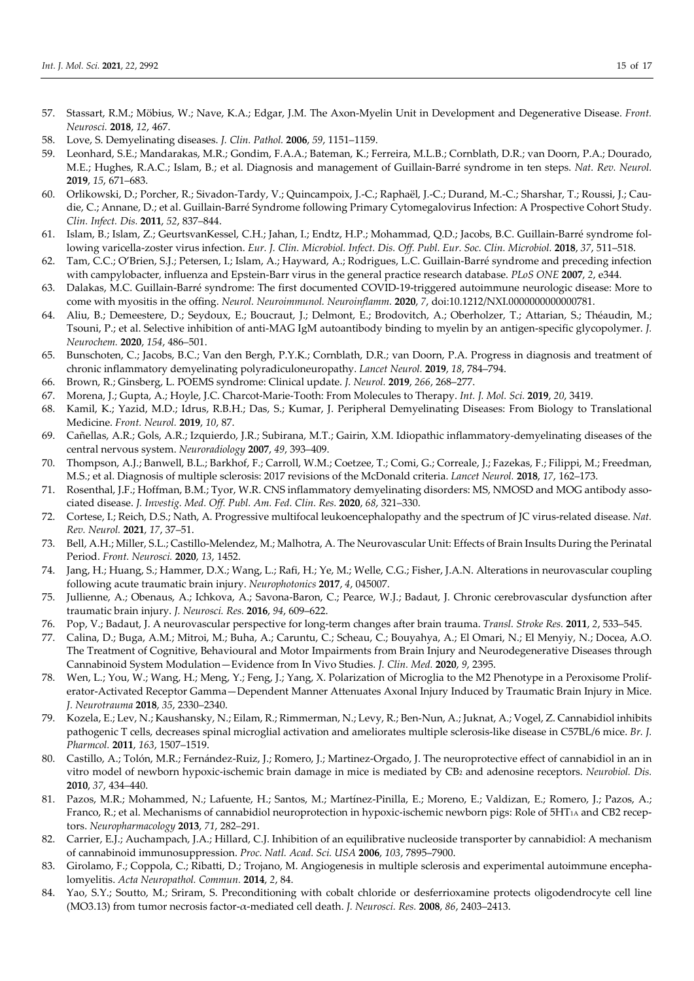- 57. Stassart, R.M.; Möbius, W.; Nave, K.A.; Edgar, J.M. The Axon-Myelin Unit in Development and Degenerative Disease. *Front. Neurosci.* **2018**, *12*, 467.
- 58. Love, S. Demyelinating diseases. *J. Clin. Pathol.* **2006**, *59*, 1151–1159.
- 59. Leonhard, S.E.; Mandarakas, M.R.; Gondim, F.A.A.; Bateman, K.; Ferreira, M.L.B.; Cornblath, D.R.; van Doorn, P.A.; Dourado, M.E.; Hughes, R.A.C.; Islam, B.; et al. Diagnosis and management of Guillain-Barré syndrome in ten steps. *Nat. Rev. Neurol.* **2019**, *15*, 671–683.
- 60. Orlikowski, D.; Porcher, R.; Sivadon-Tardy, V.; Quincampoix, J.-C.; Raphaël, J.-C.; Durand, M.-C.; Sharshar, T.; Roussi, J.; Caudie, C.; Annane, D.; et al. Guillain-Barré Syndrome following Primary Cytomegalovirus Infection: A Prospective Cohort Study. *Clin. Infect. Dis.* **2011**, *52*, 837–844.
- 61. Islam, B.; Islam, Z.; GeurtsvanKessel, C.H.; Jahan, I.; Endtz, H.P.; Mohammad, Q.D.; Jacobs, B.C. Guillain-Barré syndrome following varicella-zoster virus infection. *Eur. J. Clin. Microbiol. Infect. Dis. Off. Publ. Eur. Soc. Clin. Microbiol.* **2018**, *37*, 511–518.
- 62. Tam, C.C.; O'Brien, S.J.; Petersen, I.; Islam, A.; Hayward, A.; Rodrigues, L.C. Guillain-Barré syndrome and preceding infection with campylobacter, influenza and Epstein-Barr virus in the general practice research database. *PLoS ONE* **2007**, *2*, e344.
- 63. Dalakas, M.C. Guillain-Barré syndrome: The first documented COVID-19-triggered autoimmune neurologic disease: More to come with myositis in the offing. *Neurol. Neuroimmunol. Neuroinflamm.* **2020**, *7*, doi:10.1212/NXI.0000000000000781.
- 64. Aliu, B.; Demeestere, D.; Seydoux, E.; Boucraut, J.; Delmont, E.; Brodovitch, A.; Oberholzer, T.; Attarian, S.; Théaudin, M.; Tsouni, P.; et al. Selective inhibition of anti-MAG IgM autoantibody binding to myelin by an antigen-specific glycopolymer. *J. Neurochem.* **2020**, *154*, 486–501.
- 65. Bunschoten, C.; Jacobs, B.C.; Van den Bergh, P.Y.K.; Cornblath, D.R.; van Doorn, P.A. Progress in diagnosis and treatment of chronic inflammatory demyelinating polyradiculoneuropathy. *Lancet Neurol.* **2019**, *18*, 784–794.
- 66. Brown, R.; Ginsberg, L. POEMS syndrome: Clinical update. *J. Neurol.* **2019**, *266*, 268–277.
- 67. Morena, J.; Gupta, A.; Hoyle, J.C. Charcot-Marie-Tooth: From Molecules to Therapy. *Int. J. Mol. Sci.* **2019**, *20*, 3419.
- 68. Kamil, K.; Yazid, M.D.; Idrus, R.B.H.; Das, S.; Kumar, J. Peripheral Demyelinating Diseases: From Biology to Translational Medicine. *Front. Neurol.* **2019**, *10*, 87.
- 69. Cañellas, A.R.; Gols, A.R.; Izquierdo, J.R.; Subirana, M.T.; Gairin, X.M. Idiopathic inflammatory-demyelinating diseases of the central nervous system. *Neuroradiology* **2007**, *49*, 393–409.
- 70. Thompson, A.J.; Banwell, B.L.; Barkhof, F.; Carroll, W.M.; Coetzee, T.; Comi, G.; Correale, J.; Fazekas, F.; Filippi, M.; Freedman, M.S.; et al. Diagnosis of multiple sclerosis: 2017 revisions of the McDonald criteria. *Lancet Neurol.* **2018**, *17*, 162–173.
- 71. Rosenthal, J.F.; Hoffman, B.M.; Tyor, W.R. CNS inflammatory demyelinating disorders: MS, NMOSD and MOG antibody associated disease. *J. Investig. Med. Off. Publ. Am. Fed. Clin. Res.* **2020**, *68*, 321–330.
- 72. Cortese, I.; Reich, D.S.; Nath, A. Progressive multifocal leukoencephalopathy and the spectrum of JC virus-related disease. *Nat. Rev. Neurol.* **2021**, *17*, 37–51.
- 73. Bell, A.H.; Miller, S.L.; Castillo-Melendez, M.; Malhotra, A. The Neurovascular Unit: Effects of Brain Insults During the Perinatal Period. *Front. Neurosci.* **2020**, *13*, 1452.
- 74. Jang, H.; Huang, S.; Hammer, D.X.; Wang, L.; Rafi, H.; Ye, M.; Welle, C.G.; Fisher, J.A.N. Alterations in neurovascular coupling following acute traumatic brain injury. *Neurophotonics* **2017**, *4*, 045007.
- 75. Jullienne, A.; Obenaus, A.; Ichkova, A.; Savona-Baron, C.; Pearce, W.J.; Badaut, J. Chronic cerebrovascular dysfunction after traumatic brain injury. *J. Neurosci. Res.* **2016**, *94*, 609–622.
- 76. Pop, V.; Badaut, J. A neurovascular perspective for long-term changes after brain trauma. *Transl. Stroke Res.* **2011**, *2*, 533–545.
- 77. Calina, D.; Buga, A.M.; Mitroi, M.; Buha, A.; Caruntu, C.; Scheau, C.; Bouyahya, A.; El Omari, N.; El Menyiy, N.; Docea, A.O. The Treatment of Cognitive, Behavioural and Motor Impairments from Brain Injury and Neurodegenerative Diseases through Cannabinoid System Modulation—Evidence from In Vivo Studies. *J. Clin. Med.* **2020**, *9*, 2395.
- 78. Wen, L.; You, W.; Wang, H.; Meng, Y.; Feng, J.; Yang, X. Polarization of Microglia to the M2 Phenotype in a Peroxisome Proliferator-Activated Receptor Gamma—Dependent Manner Attenuates Axonal Injury Induced by Traumatic Brain Injury in Mice. *J. Neurotrauma* **2018**, *35*, 2330–2340.
- 79. Kozela, E.; Lev, N.; Kaushansky, N.; Eilam, R.; Rimmerman, N.; Levy, R.; Ben-Nun, A.; Juknat, A.; Vogel, Z. Cannabidiol inhibits pathogenic T cells, decreases spinal microglial activation and ameliorates multiple sclerosis-like disease in C57BL/6 mice. *Br. J. Pharmcol.* **2011**, *163*, 1507–1519.
- 80. Castillo, A.; Tolón, M.R.; Fernández-Ruiz, J.; Romero, J.; Martinez-Orgado, J. The neuroprotective effect of cannabidiol in an in vitro model of newborn hypoxic-ischemic brain damage in mice is mediated by CB<sub>2</sub> and adenosine receptors. *Neurobiol. Dis.* **2010**, *37*, 434–440.
- 81. Pazos, M.R.; Mohammed, N.; Lafuente, H.; Santos, M.; Martínez-Pinilla, E.; Moreno, E.; Valdizan, E.; Romero, J.; Pazos, A.; Franco, R.; et al. Mechanisms of cannabidiol neuroprotection in hypoxic-ischemic newborn pigs: Role of  $5HT<sub>1A</sub>$  and CB2 receptors. *Neuropharmacology* **2013**, *71*, 282–291.
- 82. Carrier, E.J.; Auchampach, J.A.; Hillard, C.J. Inhibition of an equilibrative nucleoside transporter by cannabidiol: A mechanism of cannabinoid immunosuppression. *Proc. Natl. Acad. Sci. USA* **2006**, *103*, 7895–7900.
- 83. Girolamo, F.; Coppola, C.; Ribatti, D.; Trojano, M. Angiogenesis in multiple sclerosis and experimental autoimmune encephalomyelitis. *Acta Neuropathol. Commun.* **2014**, *2*, 84.
- 84. Yao, S.Y.; Soutto, M.; Sriram, S. Preconditioning with cobalt chloride or desferrioxamine protects oligodendrocyte cell line (MO3.13) from tumor necrosis factor-α-mediated cell death. *J. Neurosci. Res.* **2008**, *86*, 2403–2413.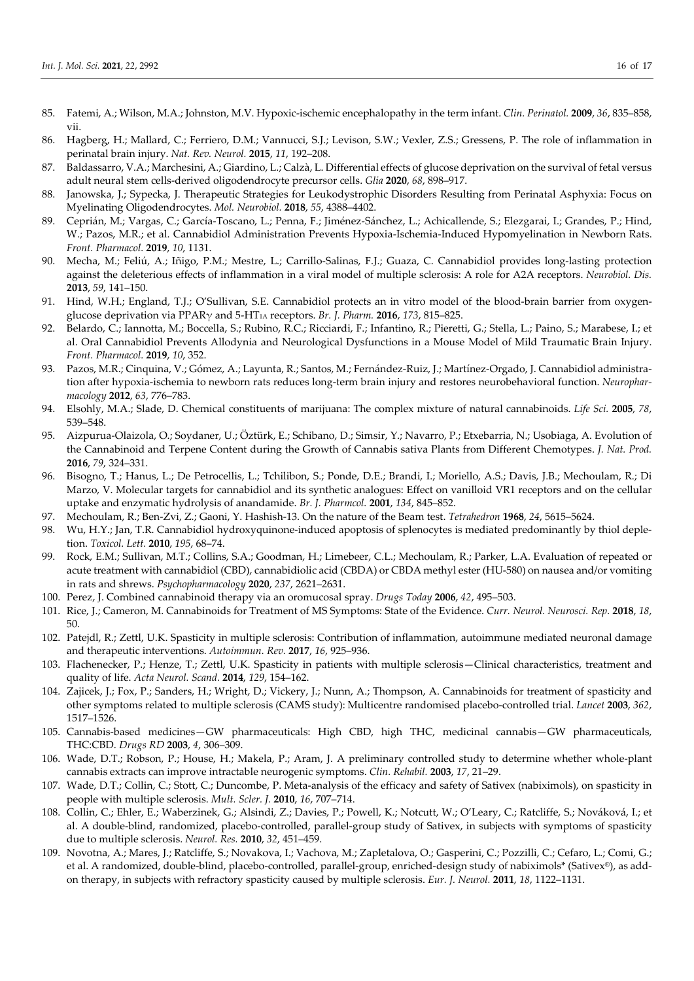- 85. Fatemi, A.; Wilson, M.A.; Johnston, M.V. Hypoxic-ischemic encephalopathy in the term infant. *Clin. Perinatol.* **2009**, *36*, 835–858, vii.
- 86. Hagberg, H.; Mallard, C.; Ferriero, D.M.; Vannucci, S.J.; Levison, S.W.; Vexler, Z.S.; Gressens, P. The role of inflammation in perinatal brain injury. *Nat. Rev. Neurol.* **2015**, *11*, 192–208.
- 87. Baldassarro, V.A.; Marchesini, A.; Giardino, L.; Calzà, L. Differential effects of glucose deprivation on the survival of fetal versus adult neural stem cells-derived oligodendrocyte precursor cells. *Glia* **2020**, *68*, 898–917.
- 88. Janowska, J.; Sypecka, J. Therapeutic Strategies for Leukodystrophic Disorders Resulting from Perinatal Asphyxia: Focus on Myelinating Oligodendrocytes. *Mol. Neurobiol.* **2018**, *55*, 4388–4402.
- 89. Ceprián, M.; Vargas, C.; García-Toscano, L.; Penna, F.; Jiménez-Sánchez, L.; Achicallende, S.; Elezgarai, I.; Grandes, P.; Hind, W.; Pazos, M.R.; et al. Cannabidiol Administration Prevents Hypoxia-Ischemia-Induced Hypomyelination in Newborn Rats. *Front. Pharmacol.* **2019**, *10*, 1131.
- 90. Mecha, M.; Feliú, A.; Iñigo, P.M.; Mestre, L.; Carrillo-Salinas, F.J.; Guaza, C. Cannabidiol provides long-lasting protection against the deleterious effects of inflammation in a viral model of multiple sclerosis: A role for A2A receptors. *Neurobiol. Dis.* **2013**, *59*, 141–150.
- 91. Hind, W.H.; England, T.J.; O'Sullivan, S.E. Cannabidiol protects an in vitro model of the blood-brain barrier from oxygenglucose deprivation via PPARγ and 5-HT1A receptors. *Br. J. Pharm.* **2016**, *173*, 815–825.
- 92. Belardo, C.; Iannotta, M.; Boccella, S.; Rubino, R.C.; Ricciardi, F.; Infantino, R.; Pieretti, G.; Stella, L.; Paino, S.; Marabese, I.; et al. Oral Cannabidiol Prevents Allodynia and Neurological Dysfunctions in a Mouse Model of Mild Traumatic Brain Injury. *Front. Pharmacol.* **2019**, *10*, 352.
- 93. Pazos, M.R.; Cinquina, V.; Gómez, A.; Layunta, R.; Santos, M.; Fernández-Ruiz, J.; Martínez-Orgado, J. Cannabidiol administration after hypoxia-ischemia to newborn rats reduces long-term brain injury and restores neurobehavioral function. *Neuropharmacology* **2012**, *63*, 776–783.
- 94. Elsohly, M.A.; Slade, D. Chemical constituents of marijuana: The complex mixture of natural cannabinoids. *Life Sci.* **2005**, *78*, 539–548.
- 95. Aizpurua-Olaizola, O.; Soydaner, U.; Öztürk, E.; Schibano, D.; Simsir, Y.; Navarro, P.; Etxebarria, N.; Usobiaga, A. Evolution of the Cannabinoid and Terpene Content during the Growth of Cannabis sativa Plants from Different Chemotypes. *J. Nat. Prod.* **2016**, *79*, 324–331.
- 96. Bisogno, T.; Hanus, L.; De Petrocellis, L.; Tchilibon, S.; Ponde, D.E.; Brandi, I.; Moriello, A.S.; Davis, J.B.; Mechoulam, R.; Di Marzo, V. Molecular targets for cannabidiol and its synthetic analogues: Effect on vanilloid VR1 receptors and on the cellular uptake and enzymatic hydrolysis of anandamide. *Br. J. Pharmcol.* **2001**, *134*, 845–852.
- 97. Mechoulam, R.; Ben-Zvi, Z.; Gaoni, Y. Hashish-13. On the nature of the Beam test. *Tetrahedron* **1968**, *24*, 5615–5624.
- 98. Wu, H.Y.; Jan, T.R. Cannabidiol hydroxyquinone-induced apoptosis of splenocytes is mediated predominantly by thiol depletion. *Toxicol. Lett.* **2010**, *195*, 68–74.
- 99. Rock, E.M.; Sullivan, M.T.; Collins, S.A.; Goodman, H.; Limebeer, C.L.; Mechoulam, R.; Parker, L.A. Evaluation of repeated or acute treatment with cannabidiol (CBD), cannabidiolic acid (CBDA) or CBDA methyl ester (HU-580) on nausea and/or vomiting in rats and shrews. *Psychopharmacology* **2020**, *237*, 2621–2631.
- 100. Perez, J. Combined cannabinoid therapy via an oromucosal spray. *Drugs Today* **2006**, *42*, 495–503.
- 101. Rice, J.; Cameron, M. Cannabinoids for Treatment of MS Symptoms: State of the Evidence. Curr. Neurol. Neurosci. Rep. 2018, 18, 50.
- 102. Patejdl, R.; Zettl, U.K. Spasticity in multiple sclerosis: Contribution of inflammation, autoimmune mediated neuronal damage and therapeutic interventions. *Autoimmun. Rev.* **2017**, *16*, 925–936.
- 103. Flachenecker, P.; Henze, T.; Zettl, U.K. Spasticity in patients with multiple sclerosis—Clinical characteristics, treatment and quality of life. *Acta Neurol. Scand.* **2014**, *129*, 154–162.
- 104. Zajicek, J.; Fox, P.; Sanders, H.; Wright, D.; Vickery, J.; Nunn, A.; Thompson, A. Cannabinoids for treatment of spasticity and other symptoms related to multiple sclerosis (CAMS study): Multicentre randomised placebo-controlled trial. *Lancet* **2003**, *362*, 1517–1526.
- 105. Cannabis-based medicines—GW pharmaceuticals: High CBD, high THC, medicinal cannabis—GW pharmaceuticals, THC:CBD. *Drugs RD* **2003**, *4*, 306–309.
- 106. Wade, D.T.; Robson, P.; House, H.; Makela, P.; Aram, J. A preliminary controlled study to determine whether whole-plant cannabis extracts can improve intractable neurogenic symptoms. *Clin. Rehabil.* **2003**, *17*, 21–29.
- 107. Wade, D.T.; Collin, C.; Stott, C.; Duncombe, P. Meta-analysis of the efficacy and safety of Sativex (nabiximols), on spasticity in people with multiple sclerosis. *Mult. Scler. J.* **2010**, *16*, 707–714.
- 108. Collin, C.; Ehler, E.; Waberzinek, G.; Alsindi, Z.; Davies, P.; Powell, K.; Notcutt, W.; O'Leary, C.; Ratcliffe, S.; Nováková, I.; et al. A double-blind, randomized, placebo-controlled, parallel-group study of Sativex, in subjects with symptoms of spasticity due to multiple sclerosis. *Neurol. Res.* **2010**, *32*, 451–459.
- 109. Novotna, A.; Mares, J.; Ratcliffe, S.; Novakova, I.; Vachova, M.; Zapletalova, O.; Gasperini, C.; Pozzilli, C.; Cefaro, L.; Comi, G.; et al. A randomized, double-blind, placebo-controlled, parallel-group, enriched-design study of nabiximols\* (Sativex®), as addon therapy, in subjects with refractory spasticity caused by multiple sclerosis. *Eur. J. Neurol.* **2011**, *18*, 1122–1131.